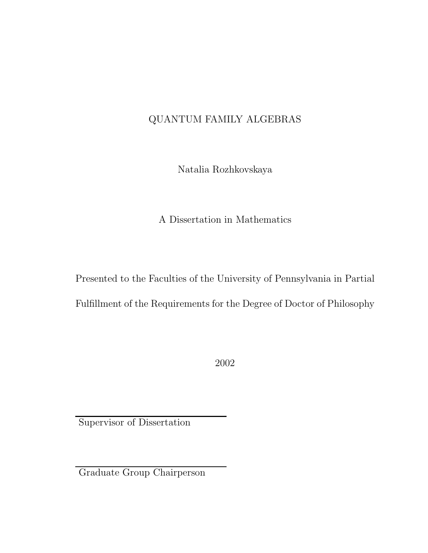#### QUANTUM FAMILY ALGEBRAS

Natalia Rozhkovskaya

A Dissertation in Mathematics

Presented to the Faculties of the University of Pennsylvania in Partial Fulfillment of the Requirements for the Degree of Doctor of Philosophy

2002

Supervisor of Dissertation

Graduate Group Chairperson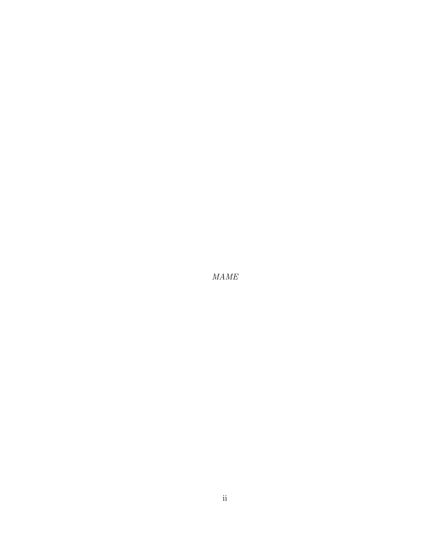MAME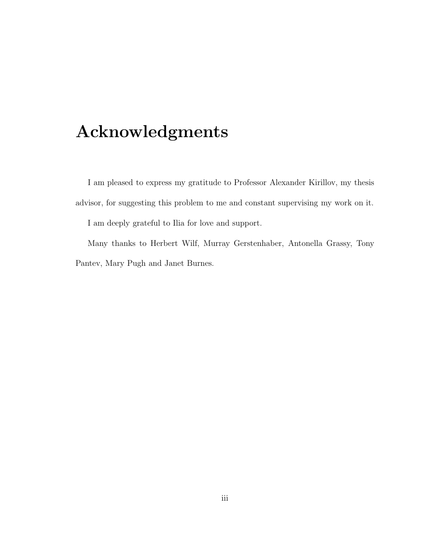## Acknowledgments

I am pleased to express my gratitude to Professor Alexander Kirillov, my thesis advisor, for suggesting this problem to me and constant supervising my work on it. I am deeply grateful to Ilia for love and support.

Many thanks to Herbert Wilf, Murray Gerstenhaber, Antonella Grassy, Tony Pantev, Mary Pugh and Janet Burnes.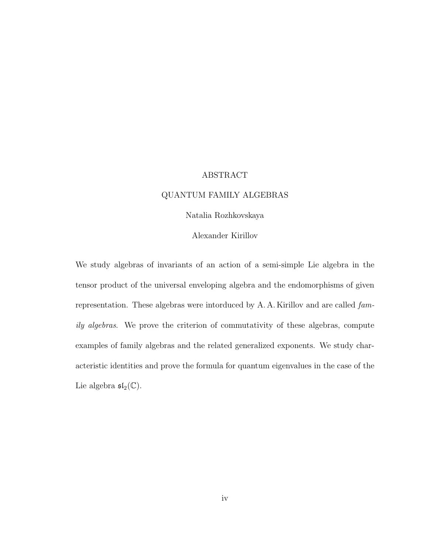#### ABSTRACT

#### QUANTUM FAMILY ALGEBRAS

#### Natalia Rozhkovskaya

#### Alexander Kirillov

We study algebras of invariants of an action of a semi-simple Lie algebra in the tensor product of the universal enveloping algebra and the endomorphisms of given representation. These algebras were intorduced by A. A. Kirillov and are called family algebras. We prove the criterion of commutativity of these algebras, compute examples of family algebras and the related generalized exponents. We study characteristic identities and prove the formula for quantum eigenvalues in the case of the Lie algebra  $\mathfrak{sl}_2(\mathbb{C})$ .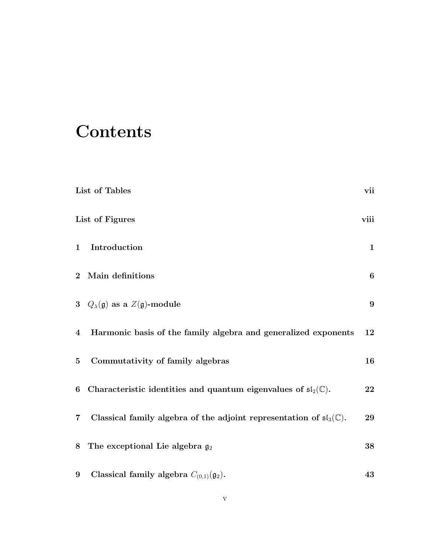## **Contents**

|                         | List of Tables                                                                            | vii              |
|-------------------------|-------------------------------------------------------------------------------------------|------------------|
|                         | List of Figures                                                                           | viii             |
| $\mathbf{1}$            | Introduction                                                                              | $\mathbf{1}$     |
| $\bf{2}$                | Main definitions                                                                          | $\boldsymbol{6}$ |
|                         | 3 $Q_{\lambda}(\mathfrak{g})$ as a $Z(\mathfrak{g})$ -module                              | $9\phantom{.}$   |
| $\overline{\mathbf{4}}$ | Harmonic basis of the family algebra and generalized exponents                            | 12               |
| $\bf{5}$                | Commutativity of family algebras                                                          | 16               |
| 6                       | Characteristic identities and quantum eigenvalues of $\mathfrak{sl}_2(\mathbb{C})$ .      | 22               |
| $\overline{\mathbf{7}}$ | Classical family algebra of the adjoint representation of $\mathfrak{sl}_3(\mathbb{C})$ . | 29               |
| 8                       | The exceptional Lie algebra $g_2$                                                         | 38               |
| 9                       | Classical family algebra $C_{(0,1)}(\mathfrak{g}_2)$ .                                    | 43               |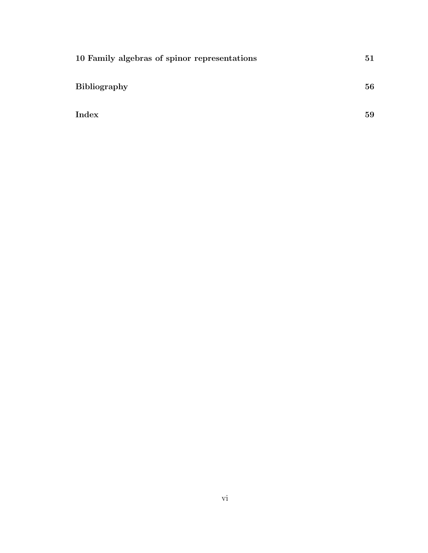| 10 Family algebras of spinor representations | 51 |
|----------------------------------------------|----|
| <b>Bibliography</b>                          | 56 |
| Index                                        | 59 |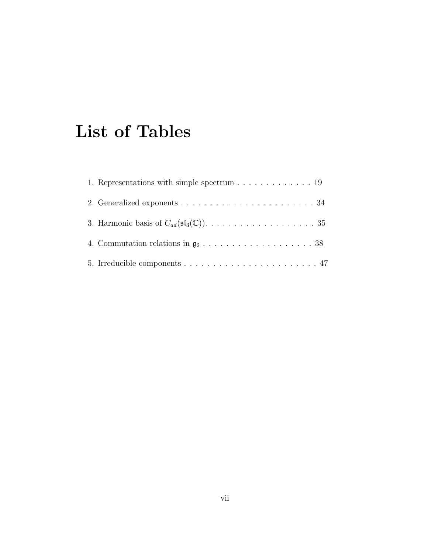## List of Tables

| 1. Representations with simple spectrum $\dots \dots \dots \dots \dots$ 19                 |
|--------------------------------------------------------------------------------------------|
| 2. Generalized exponents $\ldots \ldots \ldots \ldots \ldots \ldots \ldots \ldots 34$      |
|                                                                                            |
| 4. Commutation relations in $\mathfrak{g}_2 \ldots \ldots \ldots \ldots \ldots \ldots 38$  |
| 5. Irreducible components $\dots \dots \dots \dots \dots \dots \dots \dots \dots \dots 47$ |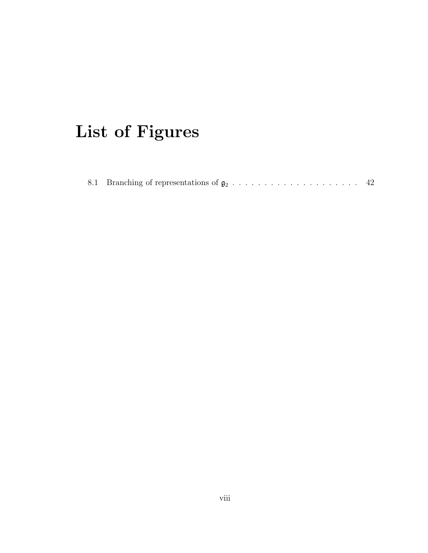# List of Figures

|  |  |  |  |  |  |  |  |  |  |  |  |  |  |  |  |  |  |  |  |  |  |  |  | -42 |  |
|--|--|--|--|--|--|--|--|--|--|--|--|--|--|--|--|--|--|--|--|--|--|--|--|-----|--|
|--|--|--|--|--|--|--|--|--|--|--|--|--|--|--|--|--|--|--|--|--|--|--|--|-----|--|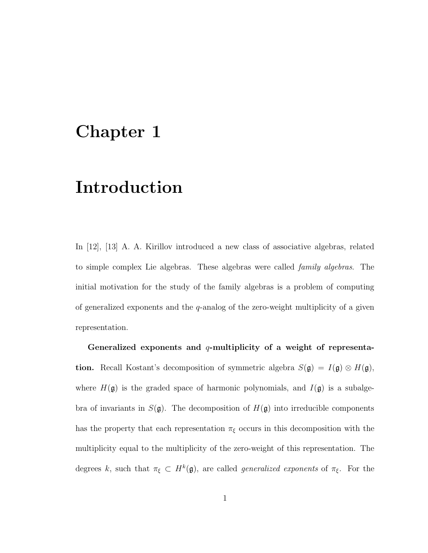## Chapter 1

## Introduction

In [12], [13] A. A. Kirillov introduced a new class of associative algebras, related to simple complex Lie algebras. These algebras were called family algebras. The initial motivation for the study of the family algebras is a problem of computing of generalized exponents and the  $q$ -analog of the zero-weight multiplicity of a given representation.

Generalized exponents and  $q$ -multiplicity of a weight of representa**tion.** Recall Kostant's decomposition of symmetric algebra  $S(\mathfrak{g}) = I(\mathfrak{g}) \otimes H(\mathfrak{g})$ , where  $H(\mathfrak{g})$  is the graded space of harmonic polynomials, and  $I(\mathfrak{g})$  is a subalgebra of invariants in  $S(\mathfrak{g})$ . The decomposition of  $H(\mathfrak{g})$  into irreducible components has the property that each representation  $\pi_{\xi}$  occurs in this decomposition with the multiplicity equal to the multiplicity of the zero-weight of this representation. The degrees k, such that  $\pi_{\xi} \subset H^k(\mathfrak{g})$ , are called *generalized exponents* of  $\pi_{\xi}$ . For the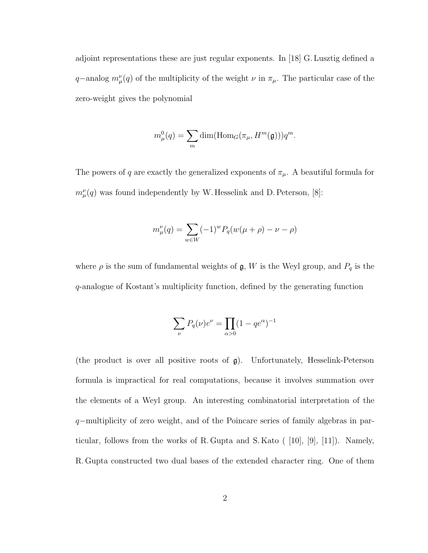adjoint representations these are just regular exponents. In [18] G. Lusztig defined a q–analog  $m^{\nu}_{\mu}(q)$  of the multiplicity of the weight  $\nu$  in  $\pi_{\mu}$ . The particular case of the zero-weight gives the polynomial

$$
m_{\mu}^{0}(q) = \sum_{m} \dim(\text{Hom}_{G}(\pi_{\mu}, H^{m}(\mathfrak{g}))) q^{m}.
$$

The powers of q are exactly the generalized exponents of  $\pi_{\mu}$ . A beautiful formula for  $m^{\nu}_{\mu}(q)$  was found independently by W. Hesselink and D. Peterson, [8]:

$$
m_{\mu}^{\nu}(q) = \sum_{w \in W} (-1)^{w} P_{q}(w(\mu + \rho) - \nu - \rho)
$$

where  $\rho$  is the sum of fundamental weights of  $\mathfrak{g}, W$  is the Weyl group, and  $P_q$  is the q-analogue of Kostant's multiplicity function, defined by the generating function

$$
\sum_\nu P_q(\nu)e^\nu=\prod_{\alpha>0}(1-q e^\alpha)^{-1}
$$

(the product is over all positive roots of g). Unfortunately, Hesselink-Peterson formula is impractical for real computations, because it involves summation over the elements of a Weyl group. An interesting combinatorial interpretation of the q−multiplicity of zero weight, and of the Poincare series of family algebras in particular, follows from the works of R. Gupta and S. Kato ( [10], [9], [11]). Namely, R. Gupta constructed two dual bases of the extended character ring. One of them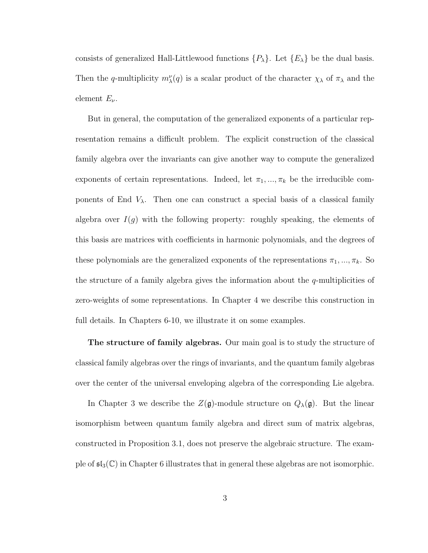consists of generalized Hall-Littlewood functions  $\{P_{\lambda}\}\$ . Let  $\{E_{\lambda}\}\$  be the dual basis. Then the q-multiplicity  $m_{\lambda}^{\nu}(q)$  is a scalar product of the character  $\chi_{\lambda}$  of  $\pi_{\lambda}$  and the element  $E_{\nu}$ .

But in general, the computation of the generalized exponents of a particular representation remains a difficult problem. The explicit construction of the classical family algebra over the invariants can give another way to compute the generalized exponents of certain representations. Indeed, let  $\pi_1, ..., \pi_k$  be the irreducible components of End  $V_{\lambda}$ . Then one can construct a special basis of a classical family algebra over  $I(g)$  with the following property: roughly speaking, the elements of this basis are matrices with coefficients in harmonic polynomials, and the degrees of these polynomials are the generalized exponents of the representations  $\pi_1, ..., \pi_k$ . So the structure of a family algebra gives the information about the q-multiplicities of zero-weights of some representations. In Chapter 4 we describe this construction in full details. In Chapters 6-10, we illustrate it on some examples.

The structure of family algebras. Our main goal is to study the structure of classical family algebras over the rings of invariants, and the quantum family algebras over the center of the universal enveloping algebra of the corresponding Lie algebra.

In Chapter 3 we describe the  $Z(\mathfrak{g})$ -module structure on  $Q_{\lambda}(\mathfrak{g})$ . But the linear isomorphism between quantum family algebra and direct sum of matrix algebras, constructed in Proposition 3.1, does not preserve the algebraic structure. The example of  $\mathfrak{sl}_3(\mathbb{C})$  in Chapter 6 illustrates that in general these algebras are not isomorphic.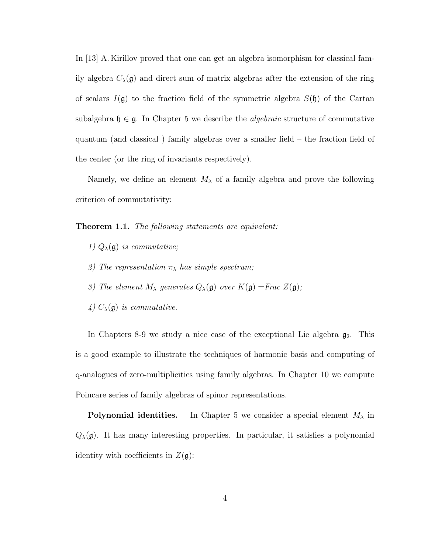In [13] A. Kirillov proved that one can get an algebra isomorphism for classical family algebra  $C_{\lambda}(\mathfrak{g})$  and direct sum of matrix algebras after the extension of the ring of scalars  $I(\mathfrak{g})$  to the fraction field of the symmetric algebra  $S(\mathfrak{h})$  of the Cartan subalgebra  $\mathfrak{h} \in \mathfrak{g}$ . In Chapter 5 we describe the *algebraic* structure of commutative quantum (and classical ) family algebras over a smaller field – the fraction field of the center (or the ring of invariants respectively).

Namely, we define an element  $M_{\lambda}$  of a family algebra and prove the following criterion of commutativity:

Theorem 1.1. The following statements are equivalent:

- 1)  $Q_{\lambda}(\mathfrak{g})$  is commutative;
- 2) The representation  $\pi_{\lambda}$  has simple spectrum;
- 3) The element  $M_{\lambda}$  generates  $Q_{\lambda}(\mathfrak{g})$  over  $K(\mathfrak{g}) =$ Frac  $Z(\mathfrak{g})$ ;
- 4)  $C_{\lambda}(\mathfrak{g})$  is commutative.

In Chapters 8-9 we study a nice case of the exceptional Lie algebra  $\mathfrak{g}_2$ . This is a good example to illustrate the techniques of harmonic basis and computing of q-analogues of zero-multiplicities using family algebras. In Chapter 10 we compute Poincare series of family algebras of spinor representations.

**Polynomial identities.** In Chapter 5 we consider a special element  $M_{\lambda}$  in  $Q_{\lambda}(\mathfrak{g})$ . It has many interesting properties. In particular, it satisfies a polynomial identity with coefficients in  $Z(\mathfrak{g})$ :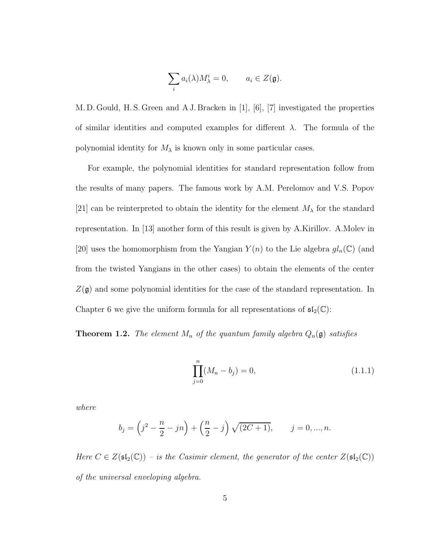$$
\sum_i a_i(\lambda) M_\lambda^i = 0, \qquad a_i \in Z(\mathfrak{g}).
$$

M. D. Gould, H. S. Green and A J. Bracken in [1], [6], [7] investigated the properties of similar identities and computed examples for different  $\lambda$ . The formula of the polynomial identity for  $M_{\lambda}$  is known only in some particular cases.

For example, the polynomial identities for standard representation follow from the results of many papers. The famous work by A.M. Perelomov and V.S. Popov [21] can be reinterpreted to obtain the identity for the element  $M_{\lambda}$  for the standard representation. In [13] another form of this result is given by A.Kirillov. A.Molev in [20] uses the homomorphism from the Yangian  $Y(n)$  to the Lie algebra  $gl_n(\mathbb{C})$  (and from the twisted Yangians in the other cases) to obtain the elements of the center  $Z(\mathfrak{g})$  and some polynomial identities for the case of the standard representation. In Chapter 6 we give the uniform formula for all representations of  $\mathfrak{sl}_2(\mathbb{C})$ :

**Theorem 1.2.** The element  $M_n$  of the quantum family algebra  $Q_n(\mathfrak{g})$  satisfies

$$
\prod_{j=0}^{n} (M_n - b_j) = 0,
$$
\n(1.1.1)

where

$$
b_j = \left(j^2 - \frac{n}{2} - jn\right) + \left(\frac{n}{2} - j\right)\sqrt{(2C+1)}, \qquad j = 0, ..., n.
$$

Here  $C \in Z(\mathfrak{sl}_2(\mathbb{C}))$  – is the Casimir element, the generator of the center  $Z(\mathfrak{sl}_2(\mathbb{C}))$ of the universal enveloping algebra.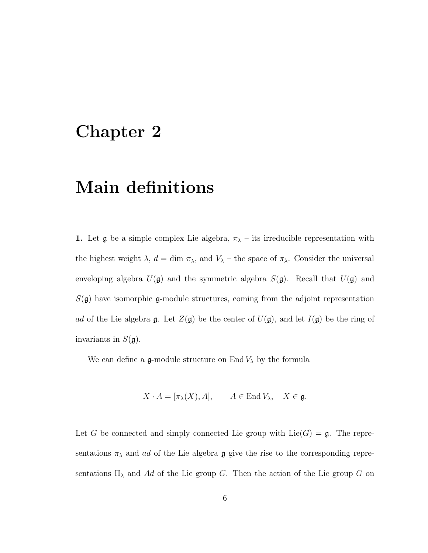## Chapter 2

## Main definitions

1. Let  $\mathfrak g$  be a simple complex Lie algebra,  $\pi_{\lambda}$  – its irreducible representation with the highest weight  $\lambda$ ,  $d = \dim \pi_{\lambda}$ , and  $V_{\lambda}$  – the space of  $\pi_{\lambda}$ . Consider the universal enveloping algebra  $U(\mathfrak{g})$  and the symmetric algebra  $S(\mathfrak{g})$ . Recall that  $U(\mathfrak{g})$  and  $S(\mathfrak{g})$  have isomorphic  $\mathfrak{g}$ -module structures, coming from the adjoint representation ad of the Lie algebra  $\mathfrak g$ . Let  $Z(\mathfrak g)$  be the center of  $U(\mathfrak g)$ , and let  $I(\mathfrak g)$  be the ring of invariants in  $S(\mathfrak{g})$ .

We can define a  $\mathfrak g$ -module structure on End  $V_\lambda$  by the formula

$$
X \cdot A = [\pi_{\lambda}(X), A], \qquad A \in \text{End}\, V_{\lambda}, \quad X \in \mathfrak{g}.
$$

Let G be connected and simply connected Lie group with  $Lie(G) = \mathfrak{g}$ . The representations  $\pi_{\lambda}$  and ad of the Lie algebra  $\mathfrak g$  give the rise to the corresponding representations  $\Pi_{\lambda}$  and Ad of the Lie group G. Then the action of the Lie group G on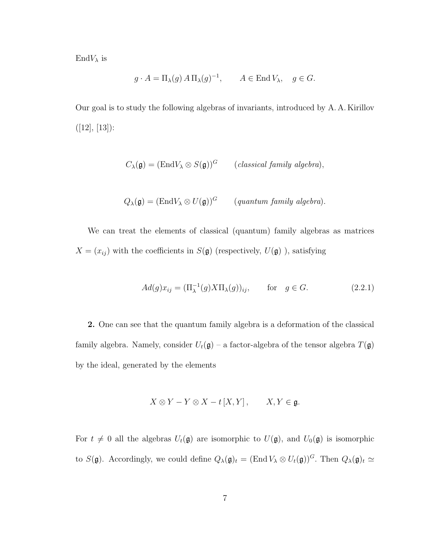$\mathrm{End}V_\lambda$  is

$$
g \cdot A = \Pi_{\lambda}(g) A \Pi_{\lambda}(g)^{-1}, \qquad A \in \text{End } V_{\lambda}, \quad g \in G.
$$

Our goal is to study the following algebras of invariants, introduced by A. A. Kirillov  $([12], [13])$ :

$$
C_{\lambda}(\mathfrak{g}) = (\text{End} V_{\lambda} \otimes S(\mathfrak{g}))^G \qquad (classical family algebra),
$$

$$
Q_{\lambda}(\mathfrak{g}) = (\text{End} V_{\lambda} \otimes U(\mathfrak{g}))^G \qquad (quantum family algebra).
$$

We can treat the elements of classical (quantum) family algebras as matrices  $X = (x_{ij})$  with the coefficients in  $S(\mathfrak{g})$  (respectively,  $U(\mathfrak{g})$ ), satisfying

$$
Ad(g)x_{ij} = (\Pi_{\lambda}^{-1}(g)X\Pi_{\lambda}(g))_{ij}, \quad \text{for} \quad g \in G. \tag{2.2.1}
$$

2. One can see that the quantum family algebra is a deformation of the classical family algebra. Namely, consider  $U_t(\mathfrak{g})$  – a factor-algebra of the tensor algebra  $T(\mathfrak{g})$ by the ideal, generated by the elements

$$
X \otimes Y - Y \otimes X - t [X, Y], \qquad X, Y \in \mathfrak{g}.
$$

For  $t \neq 0$  all the algebras  $U_t(\mathfrak{g})$  are isomorphic to  $U(\mathfrak{g})$ , and  $U_0(\mathfrak{g})$  is isomorphic to  $S(\mathfrak{g})$ . Accordingly, we could define  $Q_{\lambda}(\mathfrak{g})_t = (\text{End } V_{\lambda} \otimes U_t(\mathfrak{g}))^G$ . Then  $Q_{\lambda}(\mathfrak{g})_t \simeq$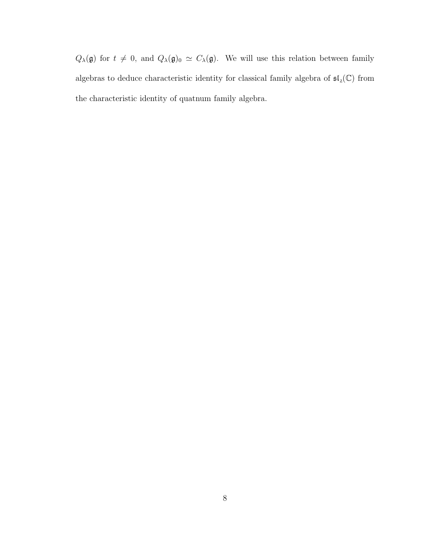$Q_{\lambda}(\mathfrak{g})$  for  $t \neq 0$ , and  $Q_{\lambda}(\mathfrak{g})_0 \simeq C_{\lambda}(\mathfrak{g})$ . We will use this relation between family algebras to deduce characteristic identity for classical family algebra of  $\mathfrak{sl}_2(\mathbb{C})$  from the characteristic identity of quatnum family algebra.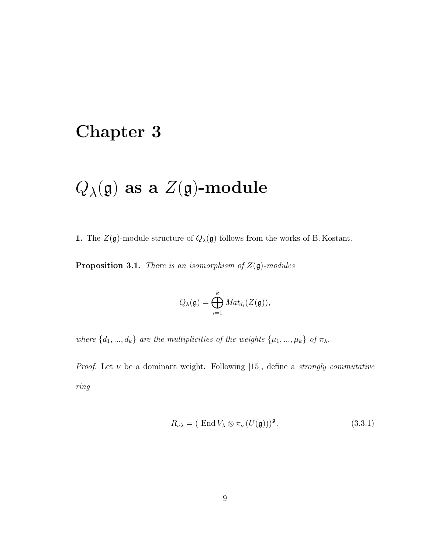## Chapter 3

# $Q_{\lambda}(\mathfrak{g})$  as a  $Z(\mathfrak{g})$ -module

**1.** The  $Z(\mathfrak{g})$ -module structure of  $Q_{\lambda}(\mathfrak{g})$  follows from the works of B. Kostant.

**Proposition 3.1.** There is an isomorphism of  $Z(\mathfrak{g})$ -modules

$$
Q_{\lambda}(\mathfrak{g})=\bigoplus_{i=1}^k Mat_{d_i}(Z(\mathfrak{g})),
$$

where  $\{d_1, ..., d_k\}$  are the multiplicities of the weights  $\{\mu_1, ..., \mu_k\}$  of  $\pi_\lambda$ .

*Proof.* Let  $\nu$  be a dominant weight. Following [15], define a *strongly commutative* ring

$$
R_{\nu\lambda} = (\text{ End }V_{\lambda} \otimes \pi_{\nu} (U(\mathfrak{g})))^{\mathfrak{g}}.
$$
 (3.3.1)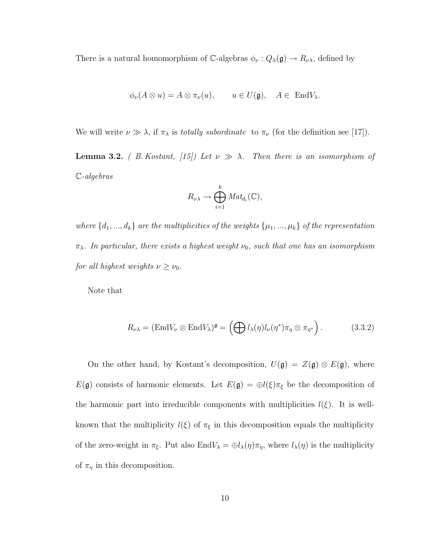There is a natural homomorphism of  $\mathbb{C}\text{-algebras }\phi_{\nu}: Q_{\lambda}(\mathfrak{g}) \to R_{\nu\lambda}$ , defined by

$$
\phi_{\nu}(A\otimes u)=A\otimes \pi_{\nu}(u), \qquad u\in U(\mathfrak{g}), \quad A\in \text{End}V_{\lambda}
$$

We will write  $\nu \gg \lambda$ , if  $\pi_{\lambda}$  is *totally subordinate* to  $\pi_{\nu}$  (for the definition see [17]).

**Lemma 3.2.** ( B. Kostant, [15]) Let  $\nu \gg \lambda$ . Then there is an isomorphism of C-algebras

$$
R_{\nu\lambda} \to \bigoplus_{i=1}^k Mat_{d_i}(\mathbb{C}),
$$

where  $\{d_1, ..., d_k\}$  are the multiplicities of the weights  $\{\mu_1, ..., \mu_k\}$  of the representation  $\pi_{\lambda}$ . In particular, there exists a highest weight  $\nu_0$ , such that one has an isomorphism for all highest weights  $\nu \geq \nu_0$ .

Note that

$$
R_{\nu\lambda} = (\text{End}V_{\nu} \otimes \text{End}V_{\lambda})^{\mathfrak{g}} = \left(\bigoplus l_{\lambda}(\eta)l_{\nu}(\eta^*)\pi_{\eta} \otimes \pi_{\eta^*}\right). \tag{3.3.2}
$$

On the other hand, by Kostant's decomposition,  $U(\mathfrak{g}) = Z(\mathfrak{g}) \otimes E(\mathfrak{g})$ , where  $E(\mathfrak{g})$  consists of harmonic elements. Let  $E(\mathfrak{g}) = \bigoplus l(\xi)\pi_{\xi}$  be the decomposition of the harmonic part into irreducible components with multiplicities  $l(\xi)$ . It is wellknown that the multiplicity  $l(\xi)$  of  $\pi_{\xi}$  in this decomposition equals the multiplicity of the zero-weight in  $\pi_{\xi}$ . Put also  $\text{End}V_{\lambda} = \bigoplus l_{\lambda}(\eta)\pi_{\eta}$ , where  $l_{\lambda}(\eta)$  is the multiplicity of  $\pi_{\eta}$  in this decomposition.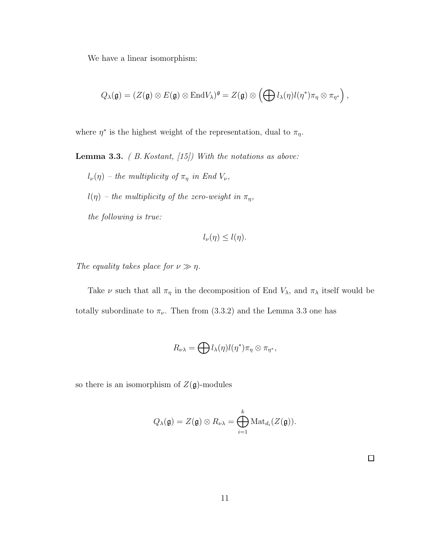We have a linear isomorphism:

$$
Q_{\lambda}(\mathfrak{g})=(Z(\mathfrak{g})\otimes E(\mathfrak{g})\otimes \mathrm{End} V_{\lambda})^{\mathfrak{g}}=Z(\mathfrak{g})\otimes \left(\bigoplus l_{\lambda}(\eta)l(\eta^*)\pi_{\eta}\otimes \pi_{\eta^*}\right),
$$

where  $\eta^*$  is the highest weight of the representation, dual to  $\pi_{\eta}$ .

**Lemma 3.3.** ( $B. Kostant, [15])$  With the notations as above:

- $l_{\nu}(\eta)$  the multiplicity of  $\pi_{\eta}$  in End  $V_{\nu}$ ,
- $l(\eta)$  the multiplicity of the zero-weight in  $\pi_\eta,$

the following is true:

$$
l_{\nu}(\eta) \leq l(\eta).
$$

The equality takes place for  $\nu \gg \eta$ .

Take  $\nu$  such that all  $\pi_{\eta}$  in the decomposition of End  $V_{\lambda}$ , and  $\pi_{\lambda}$  itself would be totally subordinate to  $\pi_{\nu}$ . Then from (3.3.2) and the Lemma 3.3 one has

$$
R_{\nu\lambda} = \bigoplus l_{\lambda}(\eta)l(\eta^*)\pi_{\eta} \otimes \pi_{\eta^*},
$$

so there is an isomorphism of  $Z(\mathfrak{g})$ -modules

$$
Q_{\lambda}(\mathfrak{g}) = Z(\mathfrak{g}) \otimes R_{\nu\lambda} = \bigoplus_{i=1}^{k} \text{Mat}_{d_{i}}(Z(\mathfrak{g})).
$$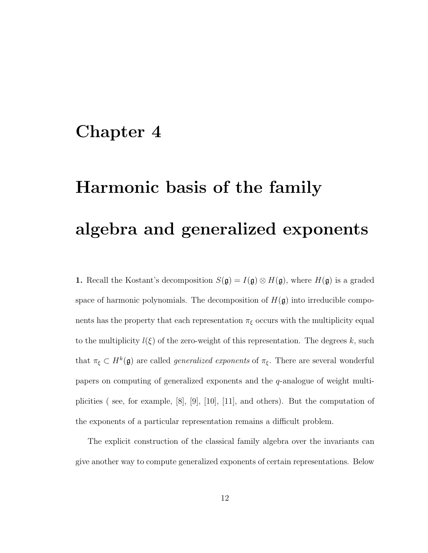## Chapter 4

# Harmonic basis of the family algebra and generalized exponents

1. Recall the Kostant's decomposition  $S(\mathfrak{g}) = I(\mathfrak{g}) \otimes H(\mathfrak{g})$ , where  $H(\mathfrak{g})$  is a graded space of harmonic polynomials. The decomposition of  $H(\mathfrak{g})$  into irreducible components has the property that each representation  $\pi_{\xi}$  occurs with the multiplicity equal to the multiplicity  $l(\xi)$  of the zero-weight of this representation. The degrees k, such that  $\pi_{\xi} \subset H^k(\mathfrak{g})$  are called *generalized exponents* of  $\pi_{\xi}$ . There are several wonderful papers on computing of generalized exponents and the q-analogue of weight multiplicities ( see, for example, [8], [9], [10], [11], and others). But the computation of the exponents of a particular representation remains a difficult problem.

The explicit construction of the classical family algebra over the invariants can give another way to compute generalized exponents of certain representations. Below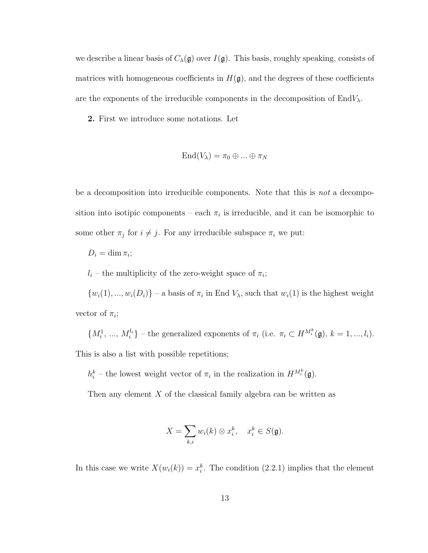we describe a linear basis of  $C_{\lambda}(\mathfrak{g})$  over  $I(\mathfrak{g})$ . This basis, roughly speaking, consists of matrices with homogeneous coefficients in  $H(\mathfrak{g})$ , and the degrees of these coefficients are the exponents of the irreducible components in the decomposition of  $EndV_{\lambda}$ .

2. First we introduce some notations. Let

$$
End(V_\lambda)=\pi_0\oplus...\oplus\pi_N
$$

be a decomposition into irreducible components. Note that this is not a decomposition into isotipic components – each  $\pi_i$  is irreducible, and it can be isomorphic to some other  $\pi_j$  for  $i \neq j$ . For any irreducible subspace  $\pi_i$  we put:

$$
D_i=\dim \pi_i;
$$

 $l_i$  – the multiplicity of the zero-weight space of  $\pi_i$ ;

 $\{w_i(1), ..., w_i(D_i)\}$  – a basis of  $\pi_i$  in End  $V_\lambda$ , such that  $w_i(1)$  is the highest weight vector of  $\pi_i$ ;

 $\{M_i^1, ..., M_i^{l_i}\}$  – the generalized exponents of  $\pi_i$  (i.e.  $\pi_i \subset H^{M_i^k}(\mathfrak{g}), k = 1, ..., l_i$ ). This is also a list with possible repetitions;

 $h_i^k$  – the lowest weight vector of  $\pi_i$  in the realization in  $H^{M_i^k}(\mathfrak{g})$ .

Then any element  $X$  of the classical family algebra can be written as

$$
X = \sum_{k,i} w_i(k) \otimes x_i^k, \quad x_i^k \in S(\mathfrak{g}).
$$

In this case we write  $X(w_i(k)) = x_i^k$ . The condition (2.2.1) implies that the element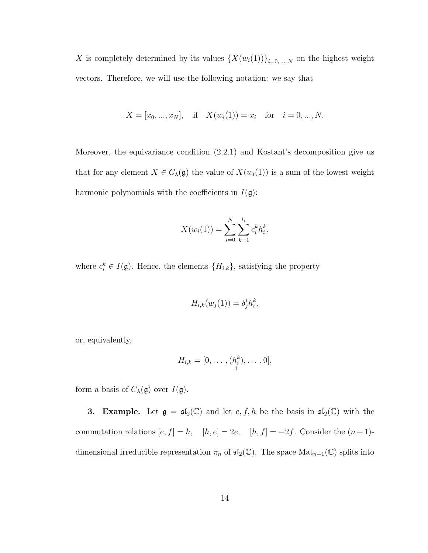X is completely determined by its values  $\{X(w_i(1))\}_{i=0,\dots,N}$  on the highest weight vectors. Therefore, we will use the following notation: we say that

$$
X = [x_0, ..., x_N],
$$
 if  $X(w_i(1)) = x_i$  for  $i = 0, ..., N$ .

Moreover, the equivariance condition (2.2.1) and Kostant's decomposition give us that for any element  $X \in C_{\lambda}(\mathfrak{g})$  the value of  $X(w_i(1))$  is a sum of the lowest weight harmonic polynomials with the coefficients in  $I(\mathfrak{g})$ :

$$
X(w_i(1)) = \sum_{i=0}^{N} \sum_{k=1}^{l_i} c_i^k h_i^k,
$$

where  $c_i^k \in I(\mathfrak{g})$ . Hence, the elements  $\{H_{i,k}\}$ , satisfying the property

$$
H_{i,k}(w_j(1)) = \delta^i_j h_i^k,
$$

or, equivalently,

$$
H_{i,k}=[0,\ldots,(h_i^k),\ldots,0],
$$

form a basis of  $C_{\lambda}(\mathfrak{g})$  over  $I(\mathfrak{g})$ .

**3. Example.** Let  $\mathfrak{g} = \mathfrak{sl}_2(\mathbb{C})$  and let  $e, f, h$  be the basis in  $\mathfrak{sl}_2(\mathbb{C})$  with the commutation relations  $[e, f] = h$ ,  $[h, e] = 2e$ ,  $[h, f] = -2f$ . Consider the  $(n+1)$ dimensional irreducible representation  $\pi_n$  of  $\mathfrak{sl}_2(\mathbb{C})$ . The space  $\mathrm{Mat}_{n+1}(\mathbb{C})$  splits into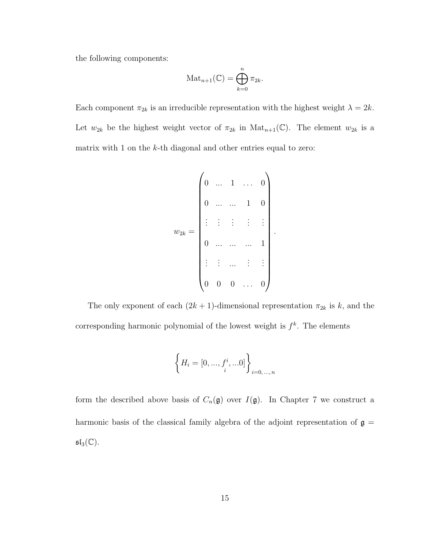the following components:

$$
\mathrm{Mat}_{n+1}(\mathbb{C}) = \bigoplus_{k=0}^{n} \pi_{2k}.
$$

Each component  $\pi_{2k}$  is an irreducible representation with the highest weight  $\lambda = 2k$ . Let  $w_{2k}$  be the highest weight vector of  $\pi_{2k}$  in  $\text{Mat}_{n+1}(\mathbb{C})$ . The element  $w_{2k}$  is a matrix with 1 on the k-th diagonal and other entries equal to zero:

$$
w_{2k} = \begin{pmatrix} 0 & \dots & 1 & \dots & 0 \\ 0 & \dots & \dots & 1 & 0 \\ \vdots & \vdots & \vdots & \vdots & \vdots \\ 0 & \dots & \dots & \dots & 1 \\ \vdots & \vdots & \dots & \vdots & \vdots \\ 0 & 0 & 0 & \dots & 0 \end{pmatrix}.
$$

The only exponent of each  $(2k + 1)$ -dimensional representation  $\pi_{2k}$  is  $k$ , and the corresponding harmonic polynomial of the lowest weight is  $f^k$ . The elements

$$
\left\{ H_i = [0, ..., f_i^i, ...0] \right\}_{i=0,...,n}
$$

form the described above basis of  $C_n(\mathfrak{g})$  over  $I(\mathfrak{g})$ . In Chapter 7 we construct a harmonic basis of the classical family algebra of the adjoint representation of  $\mathfrak{g}\,=\,$  $\mathfrak{sl}_3(\mathbb{C}).$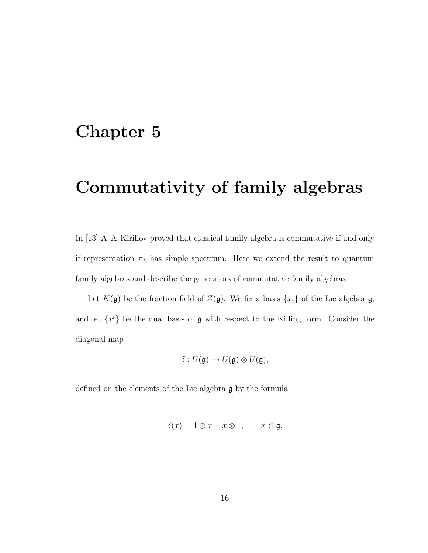## Chapter 5

## Commutativity of family algebras

In [13] A. A. Kirillov proved that classical family algebra is commutative if and only if representation  $\pi_{\lambda}$  has simple spectrum. Here we extend the result to quantum family algebras and describe the generators of commutative family algebras.

Let  $K(\mathfrak{g})$  be the fraction field of  $Z(\mathfrak{g})$ . We fix a basis  $\{x_i\}$  of the Lie algebra  $\mathfrak{g}$ , and let  $\{x^i\}$  be the dual basis of  $\mathfrak g$  with respect to the Killing form. Consider the diagonal map

$$
\delta: U(\mathfrak{g})\to U(\mathfrak{g})\otimes U(\mathfrak{g}),
$$

defined on the elements of the Lie algebra g by the formula

$$
\delta(x) = 1 \otimes x + x \otimes 1, \qquad x \in \mathfrak{g}.
$$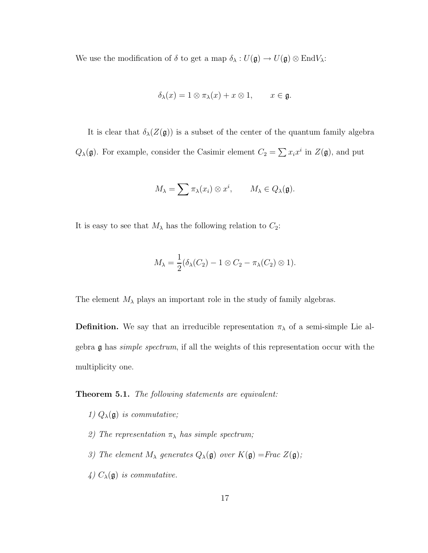We use the modification of  $\delta$  to get a map  $\delta_{\lambda}: U(\mathfrak{g}) \to U(\mathfrak{g}) \otimes \text{End} V_{\lambda}$ :

$$
\delta_{\lambda}(x) = 1 \otimes \pi_{\lambda}(x) + x \otimes 1, \qquad x \in \mathfrak{g}.
$$

It is clear that  $\delta_{\lambda}(Z(\mathfrak{g}))$  is a subset of the center of the quantum family algebra  $Q_{\lambda}(\mathfrak{g})$ . For example, consider the Casimir element  $C_2 = \sum x_i x^i$  in  $Z(\mathfrak{g})$ , and put

$$
M_{\lambda} = \sum \pi_{\lambda}(x_i) \otimes x^i, \qquad M_{\lambda} \in Q_{\lambda}(\mathfrak{g}).
$$

It is easy to see that  $M_{\lambda}$  has the following relation to  $C_2$ :

$$
M_{\lambda} = \frac{1}{2} (\delta_{\lambda}(C_2) - 1 \otimes C_2 - \pi_{\lambda}(C_2) \otimes 1).
$$

The element  $M_{\lambda}$  plays an important role in the study of family algebras.

**Definition.** We say that an irreducible representation  $\pi_{\lambda}$  of a semi-simple Lie algebra g has simple spectrum, if all the weights of this representation occur with the multiplicity one.

Theorem 5.1. The following statements are equivalent:

- 1)  $Q_{\lambda}(\mathfrak{g})$  is commutative;
- 2) The representation  $\pi_{\lambda}$  has simple spectrum;
- 3) The element  $M_{\lambda}$  generates  $Q_{\lambda}(\mathfrak{g})$  over  $K(\mathfrak{g}) =$ Frac  $Z(\mathfrak{g})$ ;
- 4)  $C_{\lambda}(\mathfrak{g})$  is commutative.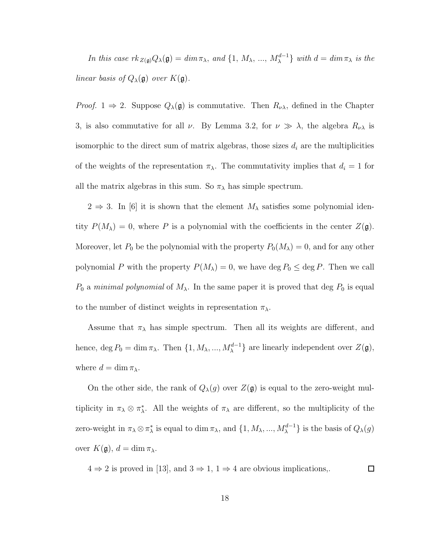In this case  $rk_{Z(\mathfrak{g})}Q_{\lambda}(\mathfrak{g}) = dim \pi_{\lambda}$ , and  $\{1, M_{\lambda}, ..., M_{\lambda}^{d-1}\}\$  with  $d = dim \pi_{\lambda}$  is the linear basis of  $Q_{\lambda}(\mathfrak{g})$  over  $K(\mathfrak{g})$ .

*Proof.* 1  $\Rightarrow$  2. Suppose  $Q_{\lambda}(\mathfrak{g})$  is commutative. Then  $R_{\nu\lambda}$ , defined in the Chapter 3, is also commutative for all  $\nu$ . By Lemma 3.2, for  $\nu \gg \lambda$ , the algebra  $R_{\nu\lambda}$  is isomorphic to the direct sum of matrix algebras, those sizes  $d_i$  are the multiplicities of the weights of the representation  $\pi_{\lambda}$ . The commutativity implies that  $d_i = 1$  for all the matrix algebras in this sum. So  $\pi_{\lambda}$  has simple spectrum.

 $2 \Rightarrow 3$ . In [6] it is shown that the element  $M_{\lambda}$  satisfies some polynomial identity  $P(M_\lambda) = 0$ , where P is a polynomial with the coefficients in the center  $Z(\mathfrak{g})$ . Moreover, let  $P_0$  be the polynomial with the property  $P_0(M_\lambda) = 0$ , and for any other polynomial P with the property  $P(M_\lambda) = 0$ , we have deg  $P_0 \leq \text{deg } P$ . Then we call  $P_0$  a minimal polynomial of  $M_\lambda$ . In the same paper it is proved that deg  $P_0$  is equal to the number of distinct weights in representation  $\pi_{\lambda}$ .

Assume that  $\pi_{\lambda}$  has simple spectrum. Then all its weights are different, and hence, deg  $P_0 = \dim \pi_\lambda$ . Then  $\{1, M_\lambda, ..., M_\lambda^{d-1}\}\$ are linearly independent over  $Z(\mathfrak{g})$ , where  $d = \dim \pi_{\lambda}$ .

On the other side, the rank of  $Q_{\lambda}(g)$  over  $Z(\mathfrak{g})$  is equal to the zero-weight multiplicity in  $\pi_{\lambda} \otimes \pi_{\lambda}^*$ . All the weights of  $\pi_{\lambda}$  are different, so the multiplicity of the zero-weight in  $\pi_\lambda \otimes \pi_\lambda^*$  is equal to dim  $\pi_\lambda$ , and  $\{1, M_\lambda, ..., M_\lambda^{d-1}\}$  is the basis of  $Q_\lambda(g)$ over  $K(\mathfrak{g}), d = \dim \pi_{\lambda}$ .

 $4 \Rightarrow 2$  is proved in [13], and  $3 \Rightarrow 1, 1 \Rightarrow 4$  are obvious implications,.  $\Box$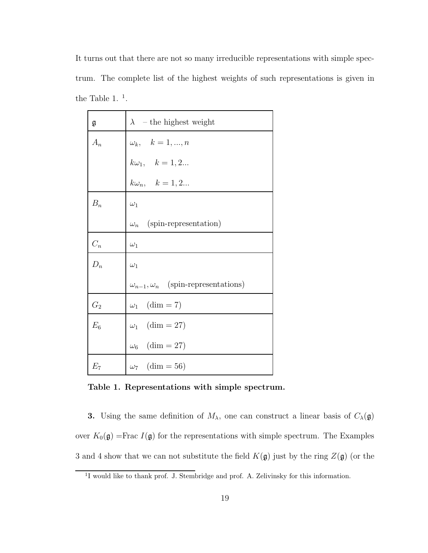It turns out that there are not so many irreducible representations with simple spectrum. The complete list of the highest weights of such representations is given in the Table 1.<sup>1</sup>.

| g     | $\lambda$ – the highest weight                  |
|-------|-------------------------------------------------|
| $A_n$ | $\omega_k, \quad k = 1, , n$                    |
|       | $k\omega_1, \quad k=1,2$                        |
|       | $k\omega_n, \quad k=1,2$                        |
| $B_n$ | $\omega_1$                                      |
|       | $\omega_n$ (spin-representation)                |
| $C_n$ | $\omega_1$                                      |
| $D_n$ | $\omega_1$                                      |
|       | $\omega_{n-1}, \omega_n$ (spin-representations) |
| $G_2$ | $\omega_1$ (dim = 7)                            |
| $E_6$ | $\omega_1$ (dim = 27)                           |
|       | $\omega_6$ (dim = 27)                           |
| $E_7$ | $\omega_7$ (dim = 56)                           |

Table 1. Representations with simple spectrum.

**3.** Using the same definition of  $M_{\lambda}$ , one can construct a linear basis of  $C_{\lambda}(\mathfrak{g})$ over  $K_0(\mathfrak{g})$  =Frac  $I(\mathfrak{g})$  for the representations with simple spectrum. The Examples 3 and 4 show that we can not substitute the field  $K(\mathfrak{g})$  just by the ring  $Z(\mathfrak{g})$  (or the

<sup>&</sup>lt;sup>1</sup>I would like to thank prof. J. Stembridge and prof. A. Zelivinsky for this information.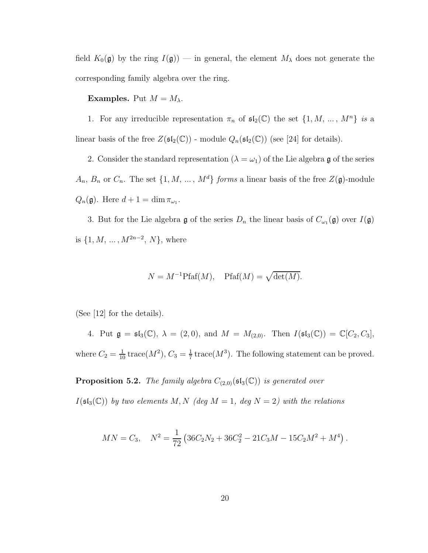field  $K_0(\mathfrak{g})$  by the ring  $I(\mathfrak{g})$  — in general, the element  $M_\lambda$  does not generate the corresponding family algebra over the ring.

#### **Examples.** Put  $M = M_{\lambda}$ .

1. For any irreducible representation  $\pi_n$  of  $\mathfrak{sl}_2(\mathbb{C})$  the set  $\{1, M, ..., M^n\}$  is a linear basis of the free  $Z(\mathfrak{sl}_2(\mathbb{C}))$  - module  $Q_n(\mathfrak{sl}_2(\mathbb{C}))$  (see [24] for details).

2. Consider the standard representation ( $\lambda = \omega_1$ ) of the Lie algebra g of the series  $A_n$ ,  $B_n$  or  $C_n$ . The set  $\{1, M, ..., M^d\}$  forms a linear basis of the free  $Z(\mathfrak{g})$ -module  $Q_n(\mathfrak{g})$ . Here  $d+1 = \dim \pi_{\omega_1}$ .

3. But for the Lie algebra  $\mathfrak g$  of the series  $D_n$  the linear basis of  $C_{\omega_1}(\mathfrak g)$  over  $I(\mathfrak g)$ is  $\{1, M, ..., M^{2n-2}, N\}$ , where

$$
N = M^{-1}Pfaf(M)
$$
, Pfaf $(M) = \sqrt{\det(M)}$ .

(See [12] for the details).

4. Put  $\mathfrak{g} = \mathfrak{sl}_3(\mathbb{C}), \lambda = (2,0), \text{ and } M = M_{(2,0)}. \text{ Then } I(\mathfrak{sl}_3(\mathbb{C})) = \mathbb{C}[C_2, C_3],$ where  $C_2 = \frac{1}{10}$  trace( $M^2$ ),  $C_3 = \frac{1}{7}$  $\frac{1}{7}$  trace( $M^3$ ). The following statement can be proved.

**Proposition 5.2.** The family algebra  $C_{(2,0)}(\mathfrak{sl}_3(\mathbb{C}))$  is generated over

 $I(\mathfrak{sl}_3(\mathbb{C}))$  by two elements M, N (deg  $M = 1$ , deg  $N = 2$ ) with the relations

$$
MN = C_3, \quad N^2 = \frac{1}{72} \left( 36C_2N_2 + 36C_2^2 - 21C_3M - 15C_2M^2 + M^4 \right).
$$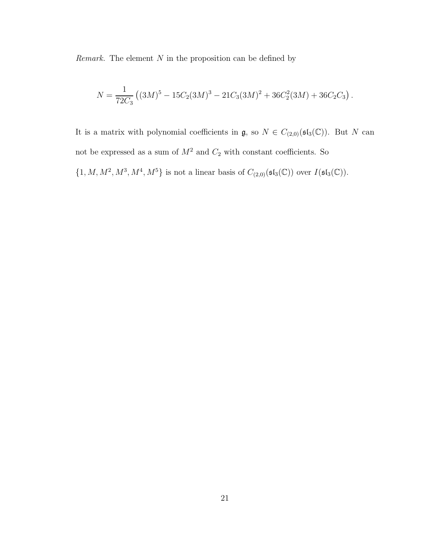Remark. The element  $N$  in the proposition can be defined by

$$
N = \frac{1}{72C_3} \left( (3M)^5 - 15C_2(3M)^3 - 21C_3(3M)^2 + 36C_2^2(3M) + 36C_2C_3 \right).
$$

It is a matrix with polynomial coefficients in  $\mathfrak{g}$ , so  $N \in C_{(2,0)}(\mathfrak{sl}_3(\mathbb{C}))$ . But N can not be expressed as a sum of  $M^2$  and  $C_2$  with constant coefficients. So  $\{1, M, M^2, M^3, M^4, M^5\}$  is not a linear basis of  $C_{(2,0)}(\mathfrak{sl}_3(\mathbb{C}))$  over  $I(\mathfrak{sl}_3(\mathbb{C}))$ .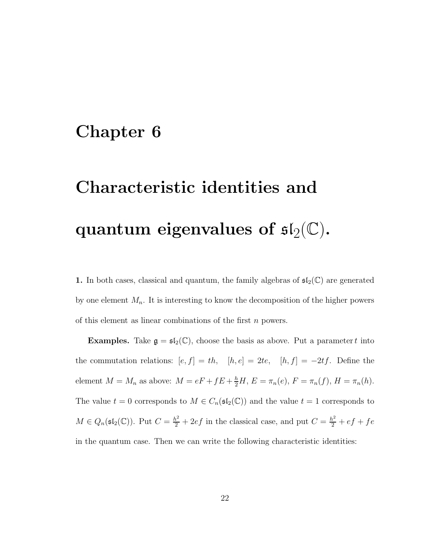## Chapter 6

# Characteristic identities and quantum eigenvalues of  $\mathfrak{sl}_2(\mathbb{C}).$

1. In both cases, classical and quantum, the family algebras of  $\mathfrak{sl}_2(\mathbb{C})$  are generated by one element  $M_n$ . It is interesting to know the decomposition of the higher powers of this element as linear combinations of the first  $n$  powers.

**Examples.** Take  $\mathfrak{g} = \mathfrak{sl}_2(\mathbb{C})$ , choose the basis as above. Put a parameter t into the commutation relations:  $[e, f] = th$ ,  $[h, e] = 2te$ ,  $[h, f] = -2tf$ . Define the element  $M = M_n$  as above:  $M = eF + fE + \frac{h}{2}H$ ,  $E = \pi_n(e)$ ,  $F = \pi_n(f)$ ,  $H = \pi_n(h)$ . The value  $t = 0$  corresponds to  $M \in C_n(\mathfrak{sl}_2(\mathbb{C}))$  and the value  $t = 1$  corresponds to  $M \in Q_n(\mathfrak{sl}_2(\mathbb{C}))$ . Put  $C = \frac{h^2}{2} + 2ef$  in the classical case, and put  $C = \frac{h^2}{2} + ef + fe$ in the quantum case. Then we can write the following characteristic identities: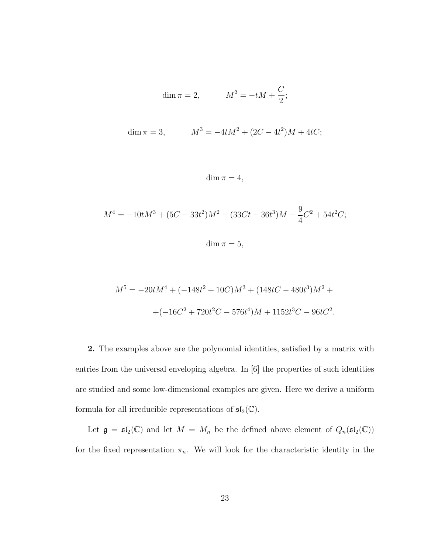$$
\dim \pi = 2, \qquad \qquad M^2 = -tM + \frac{C}{2};
$$

$$
\dim \pi = 3, \qquad \qquad M^3 = -4tM^2 + (2C - 4t^2)M + 4tC;
$$

$$
\dim \pi = 4,
$$

$$
M^{4} = -10tM^{3} + (5C - 33t^{2})M^{2} + (33Ct - 36t^{3})M - \frac{9}{4}C^{2} + 54t^{2}C;
$$
  

$$
\dim \pi = 5,
$$

$$
M^5 = -20tM^4 + (-148t^2 + 10C)M^3 + (148tC - 480t^3)M^2 +
$$
  
 
$$
+(-16C^2 + 720t^2C - 576t^4)M + 1152t^3C - 96tC^2.
$$

2. The examples above are the polynomial identities, satisfied by a matrix with entries from the universal enveloping algebra. In [6] the properties of such identities are studied and some low-dimensional examples are given. Here we derive a uniform formula for all irreducible representations of  $\mathfrak{sl}_2(\mathbb{C})$ .

Let  $\mathfrak{g} = \mathfrak{sl}_2(\mathbb{C})$  and let  $M = M_n$  be the defined above element of  $Q_n(\mathfrak{sl}_2(\mathbb{C}))$ for the fixed representation  $\pi_n$ . We will look for the characteristic identity in the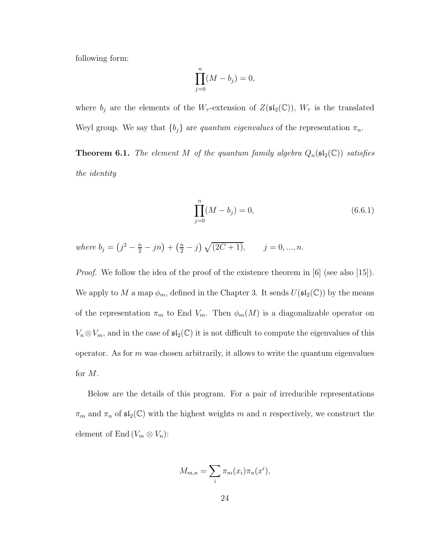following form:

$$
\prod_{j=0}^{n} (M - b_j) = 0,
$$

where  $b_j$  are the elements of the  $W_\tau$ -extension of  $Z(\mathfrak{sl}_2(\mathbb{C}))$ ,  $W_\tau$  is the translated Weyl group. We say that  ${b_j}$  are *quantum eigenvalues* of the representation  $\pi_n$ .

**Theorem 6.1.** The element M of the quantum family algebra  $Q_n(\mathfrak{sl}_2(\mathbb{C}))$  satisfies the identity

$$
\prod_{j=0}^{n} (M - b_j) = 0,
$$
\n(6.6.1)

where  $b_j = (j^2 - \frac{n}{2} - jn) + (\frac{n}{2} - j) \sqrt{(2C + 1)}, \qquad j = 0, ..., n.$ 

*Proof.* We follow the idea of the proof of the existence theorem in [6] (see also [15]). We apply to M a map  $\phi_m$ , defined in the Chapter 3. It sends  $U(\mathfrak{sl}_2(\mathbb{C}))$  by the means of the representation  $\pi_m$  to End  $V_m$ . Then  $\phi_m(M)$  is a diagonalizable operator on  $V_n \otimes V_m$ , and in the case of  $\mathfrak{sl}_2(\mathbb{C})$  it is not difficult to compute the eigenvalues of this operator. As for  $m$  was chosen arbitrarily, it allows to write the quantum eigenvalues for M.

Below are the details of this program. For a pair of irreducible representations  $\pi_m$  and  $\pi_n$  of  $\mathfrak{sl}_2(\mathbb{C})$  with the highest weights m and n respectively, we construct the element of End  $(V_m \otimes V_n)$ :

$$
M_{m,n} = \sum_{i} \pi_m(x_i) \pi_n(x^i),
$$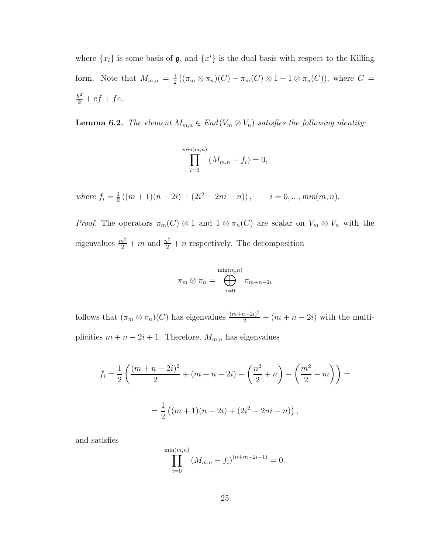where  $\{x_i\}$  is some basis of  $\mathfrak{g}$ , and  $\{x^i\}$  is the dual basis with respect to the Killing form. Note that  $M_{m,n} = \frac{1}{2}$  $\frac{1}{2} ((\pi_m \otimes \pi_n)(C) - \pi_m(C) \otimes 1 - 1 \otimes \pi_n(C)),$  where  $C =$  $\frac{h^2}{2} + ef + fe.$ 

**Lemma 6.2.** The element  $M_{m,n} \in End(V_m \otimes V_n)$  satisfies the following identity:

$$
\prod_{i=0}^{\min(m,n)} (M_{m,n} - f_i) = 0,
$$

where  $f_i = \frac{1}{2}$  $\frac{1}{2}((m+1)(n-2i)+(2i^2-2ni-n)),$   $i=0,...,min(m,n).$ 

*Proof.* The operators  $\pi_m(C) \otimes 1$  and  $1 \otimes \pi_n(C)$  are scalar on  $V_m \otimes V_n$  with the eigenvalues  $\frac{m^2}{2} + m$  and  $\frac{n^2}{2} + n$  respectively. The decomposition

$$
\pi_m \otimes \pi_n = \bigoplus_{i=0}^{\min(m,n)} \pi_{m+n-2i}
$$

follows that  $(\pi_m \otimes \pi_n)(C)$  has eigenvalues  $\frac{(m+n-2i)^2}{2} + (m+n-2i)$  with the multiplicities  $m + n - 2i + 1$ . Therefore,  $M_{m,n}$  has eigenvalues

$$
f_i = \frac{1}{2} \left( \frac{(m+n-2i)^2}{2} + (m+n-2i) - \left( \frac{n^2}{2} + n \right) - \left( \frac{m^2}{2} + m \right) \right) =
$$
  
=  $\frac{1}{2} \left( (m+1)(n-2i) + (2i^2 - 2ni - n) \right),$ 

and satisfies

$$
\prod_{i=0}^{\min(m,n)} (M_{m,n} - f_i)^{(n+m-2i+1)} = 0.
$$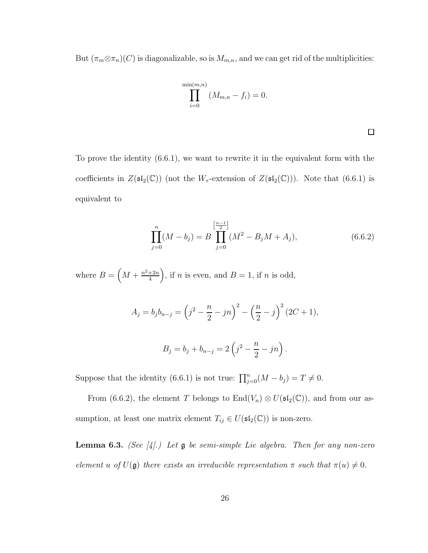But  $(\pi_m \otimes \pi_n)(C)$  is diagonalizable, so is  $M_{m,n}$ , and we can get rid of the multiplicities:

$$
\prod_{i=0}^{\min(m,n)} (M_{m,n} - f_i) = 0.
$$

 $\square$ 

To prove the identity (6.6.1), we want to rewrite it in the equivalent form with the coefficients in  $Z(\mathfrak{sl}_2(\mathbb{C}))$  (not the  $W_\tau$ -extension of  $Z(\mathfrak{sl}_2(\mathbb{C}))$ ). Note that (6.6.1) is equivalent to

$$
\prod_{j=0}^{n} (M - b_j) = B \prod_{j=0}^{\left[\frac{n-1}{2}\right]} (M^2 - B_j M + A_j),
$$
\n(6.6.2)

where  $B = \left(M + \frac{n^2 + 2n}{4}\right)$  $\left(\frac{\pm 2n}{4}\right)$ , if *n* is even, and  $B=1$ , if *n* is odd,

$$
A_j = b_j b_{n-j} = \left(j^2 - \frac{n}{2} - jn\right)^2 - \left(\frac{n}{2} - j\right)^2 (2C + 1),
$$

$$
B_j = b_j + b_{n-j} = 2\left(j^2 - \frac{n}{2} - jn\right).
$$

Suppose that the identity (6.6.1) is not true:  $\prod_{j=0}^{n} (M - b_j) = T \neq 0$ .

From (6.6.2), the element T belongs to  $\text{End}(V_n) \otimes U(\mathfrak{sl}_2(\mathbb{C}))$ , and from our assumption, at least one matrix element  $T_{ij} \in U(\mathfrak{sl}_2(\mathbb{C}))$  is non-zero.

**Lemma 6.3.** (See [4].) Let  $\mathfrak g$  be semi-simple Lie algebra. Then for any non-zero element u of  $U(\mathfrak{g})$  there exists an irreducible representation  $\pi$  such that  $\pi(u) \neq 0$ .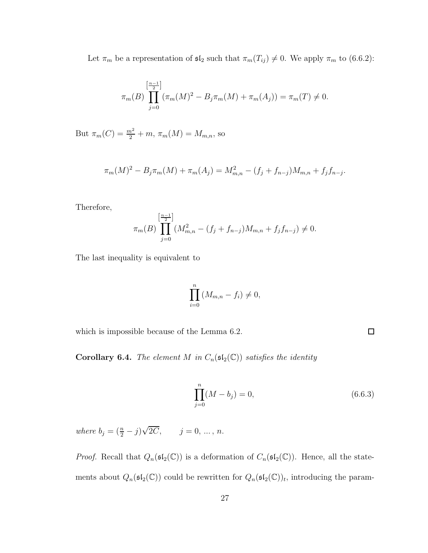Let  $\pi_m$  be a representation of  $\mathfrak{sl}_2$  such that  $\pi_m(T_{ij}) \neq 0$ . We apply  $\pi_m$  to (6.6.2):

$$
\pi_m(B) \prod_{j=0}^{\left[\frac{n-1}{2}\right]} (\pi_m(M))^2 - B_j \pi_m(M) + \pi_m(A_j)) = \pi_m(T) \neq 0.
$$

But  $\pi_m(C) = \frac{m^2}{2} + m$ ,  $\pi_m(M) = M_{m,n}$ , so

$$
\pi_m(M)^2 - B_j \pi_m(M) + \pi_m(A_j) = M_{m,n}^2 - (f_j + f_{n-j})M_{m,n} + f_j f_{n-j}.
$$

Therefore,

$$
\pi_m(B) \prod_{j=0}^{\left[\frac{n-1}{2}\right]} (M_{m,n}^2 - (f_j + f_{n-j})M_{m,n} + f_j f_{n-j}) \neq 0.
$$

The last inequality is equivalent to

$$
\prod_{i=0}^{n} (M_{m,n} - f_i) \neq 0,
$$

which is impossible because of the Lemma 6.2.

**Corollary 6.4.** The element M in  $C_n(\mathfrak{sl}_2(\mathbb{C}))$  satisfies the identity

$$
\prod_{j=0}^{n} (M - b_j) = 0,
$$
\n(6.6.3)

 $\Box$ 

where  $b_j = (\frac{n}{2} - j)\sqrt{2C}$ ,  $j = 0, ..., n$ .

*Proof.* Recall that  $Q_n(\mathfrak{sl}_2(\mathbb{C}))$  is a deformation of  $C_n(\mathfrak{sl}_2(\mathbb{C}))$ . Hence, all the statements about  $Q_n(\mathfrak{sl}_2(\mathbb{C}))$  could be rewritten for  $Q_n(\mathfrak{sl}_2(\mathbb{C}))_t$ , introducing the param-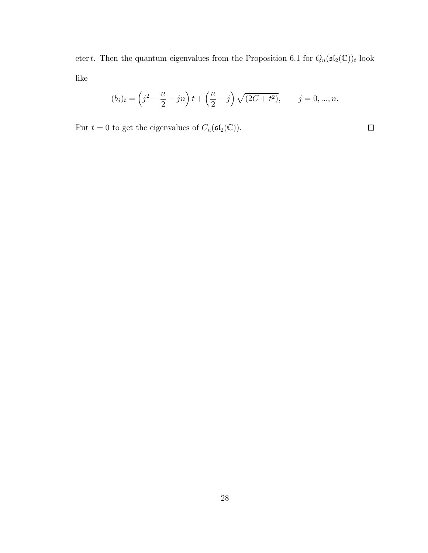etert. Then the quantum eigenvalues from the Proposition 6.1 for  $Q_n(\mathfrak{sl}_2(\mathbb{C}))_t$  look like

$$
(b_j)_t = \left(j^2 - \frac{n}{2} - jn\right)t + \left(\frac{n}{2} - j\right)\sqrt{(2C + t^2)}, \qquad j = 0, ..., n.
$$

 $\Box$ 

Put  $t = 0$  to get the eigenvalues of  $C_n(\mathfrak{sl}_2(\mathbb{C}))$ .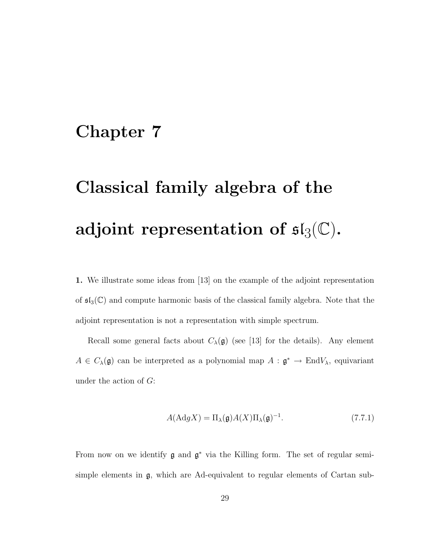## Chapter 7

# Classical family algebra of the adjoint representation of  $\mathfrak{sl}_3(\mathbb{C}).$

1. We illustrate some ideas from [13] on the example of the adjoint representation of  $\mathfrak{sl}_3(\mathbb{C})$  and compute harmonic basis of the classical family algebra. Note that the adjoint representation is not a representation with simple spectrum.

Recall some general facts about  $C_{\lambda}(\mathfrak{g})$  (see [13] for the details). Any element  $A \in C_{\lambda}(\mathfrak{g})$  can be interpreted as a polynomial map  $A : \mathfrak{g}^* \to \text{End}V_{\lambda}$ , equivariant under the action of  $G$ :

$$
A(\text{Ad}gX) = \Pi_{\lambda}(\mathfrak{g})A(X)\Pi_{\lambda}(\mathfrak{g})^{-1}.
$$
 (7.7.1)

From now on we identify  $\mathfrak g$  and  $\mathfrak g^*$  via the Killing form. The set of regular semisimple elements in g, which are Ad-equivalent to regular elements of Cartan sub-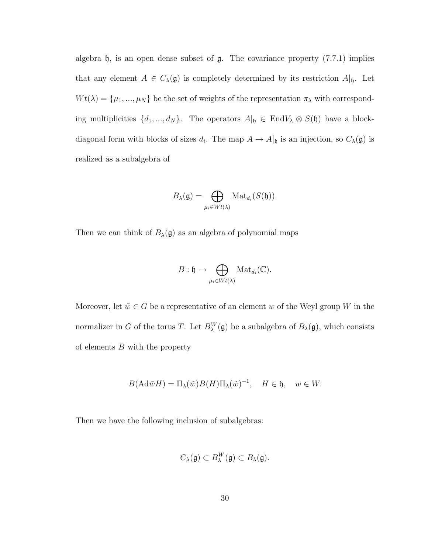algebra  $\mathfrak h$ , is an open dense subset of  $\mathfrak g$ . The covariance property (7.7.1) implies that any element  $A \in C_{\lambda}(\mathfrak{g})$  is completely determined by its restriction  $A|_{\mathfrak{h}}$ . Let  $W t(\lambda) = {\mu_1, ..., \mu_N}$  be the set of weights of the representation  $\pi_\lambda$  with corresponding multiplicities  $\{d_1, ..., d_N\}$ . The operators  $A|_{\mathfrak{h}} \in End V_{\lambda} \otimes S(\mathfrak{h})$  have a blockdiagonal form with blocks of sizes  $d_i$ . The map  $A \to A|_{\mathfrak{h}}$  is an injection, so  $C_{\lambda}(\mathfrak{g})$  is realized as a subalgebra of

$$
B_{\lambda}(\mathfrak{g})=\bigoplus_{\mu_i\in Wt(\lambda)}\mathrm{Mat}_{d_i}(S(\mathfrak{h})).
$$

Then we can think of  $B_{\lambda}(\mathfrak{g})$  as an algebra of polynomial maps

$$
B: \mathfrak{h} \to \bigoplus_{\mu_i \in Wt(\lambda)} \text{Mat}_{d_i}(\mathbb{C}).
$$

Moreover, let  $\tilde{w} \in G$  be a representative of an element w of the Weyl group W in the normalizer in G of the torus T. Let  $B_{\lambda}^{W}(\mathfrak{g})$  be a subalgebra of  $B_{\lambda}(\mathfrak{g})$ , which consists of elements  $B$  with the property

$$
B(\mathrm{Ad}\tilde{w}H) = \Pi_{\lambda}(\tilde{w})B(H)\Pi_{\lambda}(\tilde{w})^{-1}, \quad H \in \mathfrak{h}, \quad w \in W.
$$

Then we have the following inclusion of subalgebras:

$$
C_{\lambda}(\mathfrak{g})\subset B_{\lambda}^W(\mathfrak{g})\subset B_{\lambda}(\mathfrak{g}).
$$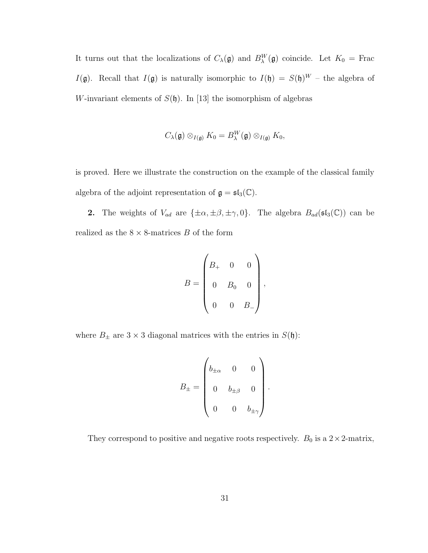It turns out that the localizations of  $C_{\lambda}(\mathfrak{g})$  and  $B_{\lambda}^{W}(\mathfrak{g})$  coincide. Let  $K_0 =$  Frac  $I(\mathfrak{g})$ . Recall that  $I(\mathfrak{g})$  is naturally isomorphic to  $I(\mathfrak{h}) = S(\mathfrak{h})^W$  – the algebra of W-invariant elements of  $S(\mathfrak{h})$ . In [13] the isomorphism of algebras

$$
C_{\lambda}(\mathfrak{g})\otimes_{I(\mathfrak{g})}K_0=B_{\lambda}^W(\mathfrak{g})\otimes_{I(\mathfrak{g})}K_0,
$$

is proved. Here we illustrate the construction on the example of the classical family algebra of the adjoint representation of  $\mathfrak{g} = \mathfrak{sl}_3(\mathbb{C})$ .

**2.** The weights of  $V_{ad}$  are  $\{\pm \alpha, \pm \beta, \pm \gamma, 0\}$ . The algebra  $B_{ad}(\mathfrak{sl}_3(\mathbb{C}))$  can be realized as the  $8 \times 8$ -matrices B of the form

$$
B = \begin{pmatrix} B_+ & 0 & 0 \\ 0 & B_0 & 0 \\ 0 & 0 & B_- \end{pmatrix},
$$

where  $B_{\pm}$  are  $3 \times 3$  diagonal matrices with the entries in  $S(\mathfrak{h})$ :

$$
B_{\pm} = \begin{pmatrix} b_{\pm\alpha} & 0 & 0 \\ 0 & b_{\pm\beta} & 0 \\ 0 & 0 & b_{\pm\gamma} \end{pmatrix}.
$$

They correspond to positive and negative roots respectively.  $B_0$  is a  $2 \times 2$ -matrix,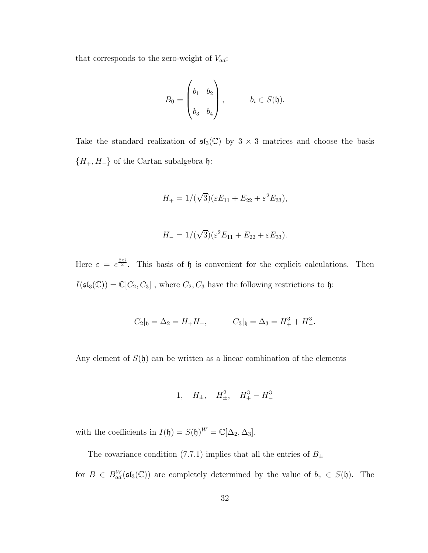that corresponds to the zero-weight of  $V_{ad}$ :

$$
B_0 = \begin{pmatrix} b_1 & b_2 \\ b_3 & b_4 \end{pmatrix}, \qquad b_i \in S(\mathfrak{h}).
$$

Take the standard realization of  $\mathfrak{sl}_3(\mathbb{C})$  by  $3 \times 3$  matrices and choose the basis { $H_+$ ,  $H_-\}$ } of the Cartan subalgebra  $\mathfrak h$ :

$$
H_{+} = 1/(\sqrt{3})(\varepsilon E_{11} + E_{22} + \varepsilon^{2} E_{33}),
$$

$$
H_{-} = 1/(\sqrt{3})(\varepsilon^2 E_{11} + E_{22} + \varepsilon E_{33}).
$$

Here  $\varepsilon = e^{\frac{2\pi i}{3}}$ . This basis of  $\mathfrak h$  is convenient for the explicit calculations. Then  $I(\mathfrak{sl}_3(\mathbb{C}))=\mathbb{C}[C_2,C_3]$  , where  $C_2,C_3$  have the following restrictions to  $\mathfrak{h}$ :

$$
C_2|_{\mathfrak{h}} = \Delta_2 = H_+H_-,
$$
  $C_3|_{\mathfrak{h}} = \Delta_3 = H_+^3 + H_-^3.$ 

Any element of  $S(\mathfrak{h})$  can be written as a linear combination of the elements

$$
1, \quad H_{\pm}, \quad H_{\pm}^2, \quad H_{+}^3 - H_{-}^3
$$

with the coefficients in  $I(\mathfrak{h}) = S(\mathfrak{h})^W = \mathbb{C}[\Delta_2, \Delta_3]$ .

The covariance condition (7.7.1) implies that all the entries of  $B_{\pm}$ for  $B \in B_{ad}^W(\mathfrak{sl}_3(\mathbb{C}))$  are completely determined by the value of  $b_\gamma \in S(\mathfrak{h})$ . The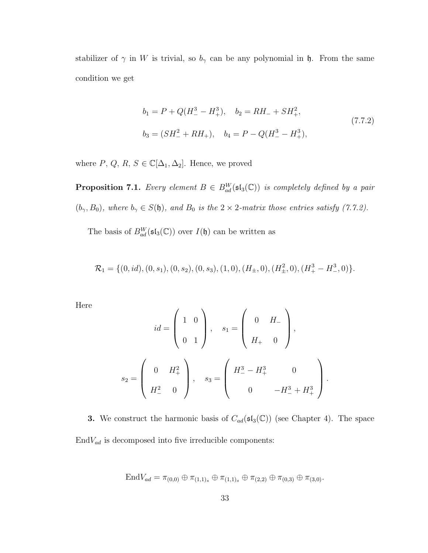stabilizer of  $\gamma$  in W is trivial, so  $b_{\gamma}$  can be any polynomial in  $\mathfrak{h}$ . From the same condition we get

$$
b_1 = P + Q(H_-^3 - H_+^3), \quad b_2 = RH_- + SH_+^2,
$$
  
\n
$$
b_3 = (SH_-^2 + RH_+), \quad b_4 = P - Q(H_-^3 - H_+^3),
$$
\n(7.7.2)

where  $P, Q, R, S \in \mathbb{C}[\Delta_1, \Delta_2]$ . Hence, we proved

**Proposition 7.1.** Every element  $B \in B_{ad}^W(\mathfrak{sl}_3(\mathbb{C}))$  is completely defined by a pair  $(b_{\gamma}, B_0)$ , where  $b_{\gamma} \in S(\mathfrak{h})$ , and  $B_0$  is the  $2 \times 2$ -matrix those entries satisfy (7.7.2).

The basis of  $B_{ad}^W(\mathfrak{sl}_3(\mathbb{C}))$  over  $I(\mathfrak{h})$  can be written as

$$
\mathcal{R}_1 = \{ (0, id), (0, s_1), (0, s_2), (0, s_3), (1, 0), (H_{\pm}, 0), (H_{\pm}^2, 0), (H_+^3 - H_-^3, 0) \}.
$$

Here

$$
id = \begin{pmatrix} 1 & 0 \\ 0 & 1 \end{pmatrix}, \quad s_1 = \begin{pmatrix} 0 & H_- \\ H_+ & 0 \end{pmatrix},
$$

$$
s_2 = \begin{pmatrix} 0 & H_+^2 \\ H_-^2 & 0 \end{pmatrix}, \quad s_3 = \begin{pmatrix} H_-^3 - H_+^3 & 0 \\ 0 & -H_-^3 + H_+^3 \end{pmatrix}.
$$

**3.** We construct the harmonic basis of  $C_{ad}(\mathfrak{sl}_3(\mathbb{C}))$  (see Chapter 4). The space  ${\rm End} V_{ad}$  is decomposed into five irreducible components:

$$
\text{End} V_{ad} = \pi_{(0,0)} \oplus \pi_{(1,1)_s} \oplus \pi_{(1,1)_s} \oplus \pi_{(2,2)} \oplus \pi_{(0,3)} \oplus \pi_{(3,0)}.
$$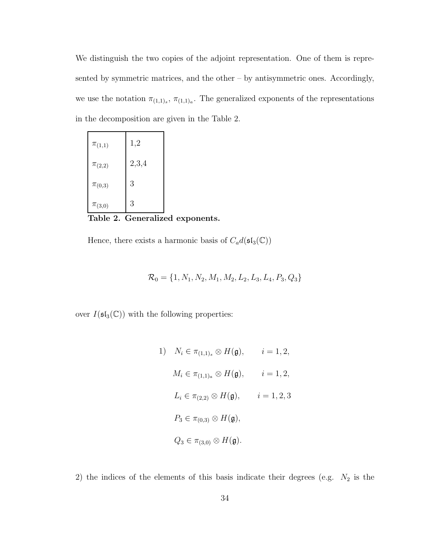We distinguish the two copies of the adjoint representation. One of them is represented by symmetric matrices, and the other – by antisymmetric ones. Accordingly, we use the notation  $\pi_{(1,1)_s}$ ,  $\pi_{(1,1)_a}$ . The generalized exponents of the representations in the decomposition are given in the Table 2.

| $\pi_{(1,1)}$ | 1,2   |
|---------------|-------|
| $\pi_{(2,2)}$ | 2,3,4 |
| $\pi_{(0,3)}$ | 3     |
| $\pi_{(3,0)}$ | 3     |

Table 2. Generalized exponents.

Hence, there exists a harmonic basis of  $C_a d(\mathfrak{sl}_3(\mathbb{C}))$ 

$$
\mathcal{R}_0 = \{1, N_1, N_2, M_1, M_2, L_2, L_3, L_4, P_3, Q_3\}
$$

over  $I(\mathfrak{sl}_3(\mathbb{C}))$  with the following properties:

1) 
$$
N_i \in \pi_{(1,1)_s} \otimes H(\mathfrak{g}), \qquad i = 1, 2,
$$
  
\n $M_i \in \pi_{(1,1)_a} \otimes H(\mathfrak{g}), \qquad i = 1, 2,$   
\n $L_i \in \pi_{(2,2)} \otimes H(\mathfrak{g}), \qquad i = 1, 2, 3$   
\n $P_3 \in \pi_{(0,3)} \otimes H(\mathfrak{g}),$   
\n $Q_3 \in \pi_{(3,0)} \otimes H(\mathfrak{g}).$ 

2) the indices of the elements of this basis indicate their degrees (e.g.  $N_2$  is the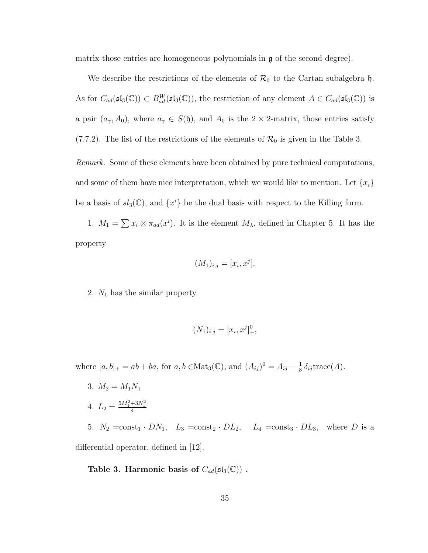matrix those entries are homogeneous polynomials in  $\mathfrak g$  of the second degree).

We describe the restrictions of the elements of  $\mathcal{R}_0$  to the Cartan subalgebra  $\mathfrak{h}$ . As for  $C_{ad}(\mathfrak{sl}_3(\mathbb{C})) \subset B_{ad}^W(\mathfrak{sl}_3(\mathbb{C}))$ , the restriction of any element  $A \in C_{ad}(\mathfrak{sl}_3(\mathbb{C}))$  is a pair  $(a_{\gamma}, A_0)$ , where  $a_{\gamma} \in S(\mathfrak{h})$ , and  $A_0$  is the  $2 \times 2$ -matrix, those entries satisfy (7.7.2). The list of the restrictions of the elements of  $\mathcal{R}_0$  is given in the Table 3.

Remark. Some of these elements have been obtained by pure technical computations, and some of them have nice interpretation, which we would like to mention. Let  ${x_i}$ be a basis of  $sl_3(\mathbb{C})$ , and  $\{x^i\}$  be the dual basis with respect to the Killing form.

1.  $M_1 = \sum x_i \otimes \pi_{ad}(x^i)$ . It is the element  $M_\lambda$ , defined in Chapter 5. It has the property

$$
(M_1)_{i,j} = [x_i, x^j].
$$

2.  $N_1$  has the similar property

$$
(N_1)_{i,j} = [x_i, x^j]_+^0,
$$

where  $[a, b]_+ = ab + ba$ , for  $a, b \in \text{Mat}_3(\mathbb{C})$ , and  $(A_{ij})^0 = A_{ij} - \frac{1}{8}$  $rac{1}{8} \delta_{ij} \text{trace}(A).$ 

- 3.  $M_2 = M_1 N_1$
- 4.  $L_2 = \frac{5M_1^2 + 3N_1^2}{4}$

5.  $N_2 = \text{const}_1 \cdot DN_1$ ,  $L_3 = \text{const}_2 \cdot DL_2$ ,  $L_4 = \text{const}_3 \cdot DL_3$ , where D is a differential operator, defined in [12].

Table 3. Harmonic basis of  $C_{ad}(\mathfrak{sl}_3(\mathbb{C}))$ .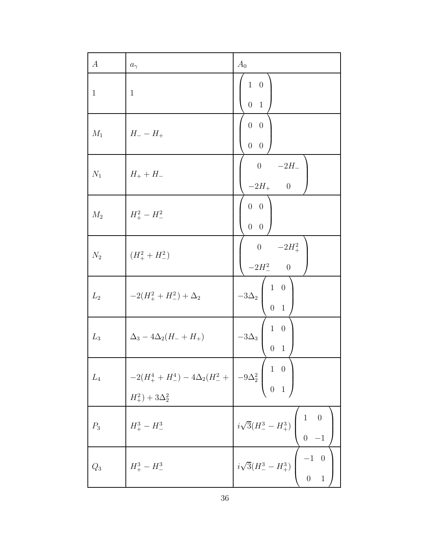| $\boldsymbol{A}$ | $a_{\gamma}$                                                                                                                 | $A_0$                                                                      |
|------------------|------------------------------------------------------------------------------------------------------------------------------|----------------------------------------------------------------------------|
| $\mathbf{1}$     | $\mathbf{1}$                                                                                                                 | $1\quad 0$<br>$0\quad 1$                                                   |
| $M_1$            | $H_- - H_+$                                                                                                                  | $0\quad 0\quad$<br>$0\quad 0$                                              |
| $N_1$            | $H_+ + H_-$                                                                                                                  | 0 $-2H_{-}$<br>$-2H_{+}$ 0                                                 |
| $M_2$            | $H_{+}^{2}-H_{-}^{2}$                                                                                                        | $0\quad 0$<br>$0\quad 0$                                                   |
|                  | $N_2$ $(H_+^2 + H_-^2)$                                                                                                      | 0 $-2H_+^2$<br>-2 $H_-^2$ 0                                                |
| $L_2$            | $-2(H_{+}^{2}+H_{-}^{2})+\Delta_{2}$                                                                                         | $-3\Delta_2\left(\begin{array}{cc} 1 & 0 \\ 0 & 1 \end{array}\right)$      |
| $L_3$            | $\Delta_3 - 4\Delta_2(H_- + H_+)$                                                                                            | $1\quad 0$<br>$-3\Delta_3$<br>0 <sub>1</sub>                               |
| $L_4$            | $-2(H_+^4 + H_-^4) - 4\Delta_2(H_-^2 + \Bigg  -9\Delta_2^2 \Bigg _0^1 - \frac{1}{100} \Bigg _0^1$<br>$H_+^2$ + $3\Delta_2^2$ |                                                                            |
| $P_3$            | $H_+^3 - H_-^3$                                                                                                              | $i\sqrt{3}(H_-^3 - H_+^3)$ $\begin{pmatrix} 1 & 0 \\ 0 & -1 \end{pmatrix}$ |
| $\mathbb{Q}_3$   | $H_+^3 - H_-^3$                                                                                                              | $\begin{pmatrix} i\sqrt{3}(H_-^3 - H_+^3) & -1 & 0 \\ 0 & 1 \end{pmatrix}$ |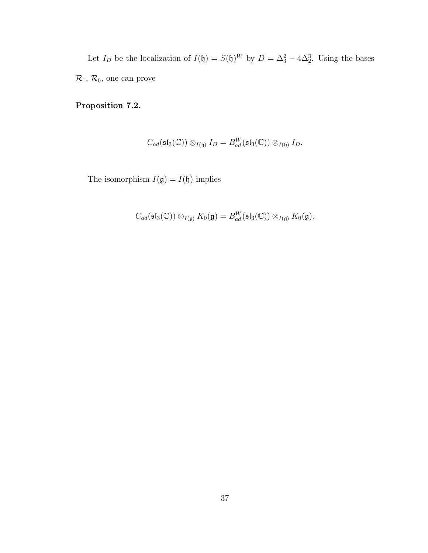Let  $I_D$  be the localization of  $I(\mathfrak{h}) = S(\mathfrak{h})^W$  by  $D = \Delta_3^2 - 4\Delta_2^3$ . Using the bases  $\mathcal{R}_1,\,\mathcal{R}_0,$  one can prove

#### Proposition 7.2.

$$
C_{ad}(\mathfrak{sl}_3(\mathbb{C}))\otimes_{I(\mathfrak{h})}I_D=B_{ad}^W(\mathfrak{sl}_3(\mathbb{C}))\otimes_{I(\mathfrak{h})}I_D.
$$

The isomorphism  $I(\mathfrak{g}) = I(\mathfrak{h})$  implies

$$
C_{ad}(\mathfrak{sl}_3(\mathbb{C})) \otimes_{I(\mathfrak{g})} K_0(\mathfrak{g}) = B_{ad}^W(\mathfrak{sl}_3(\mathbb{C})) \otimes_{I(\mathfrak{g})} K_0(\mathfrak{g}).
$$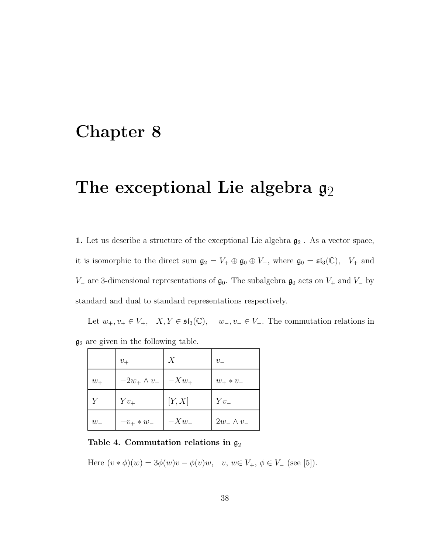## Chapter 8

## The exceptional Lie algebra  $g_2$

 $1.$  Let us describe a structure of the exceptional Lie algebra  $\mathfrak{g}_2$  . As a vector space, it is isomorphic to the direct sum  $\mathfrak{g}_2 = V_+ \oplus \mathfrak{g}_0 \oplus V_-,$  where  $\mathfrak{g}_0 = \mathfrak{sl}_3(\mathbb{C}), V_+$  and  $V_$  are 3-dimensional representations of  $\mathfrak{g}_0$ . The subalgebra  $\mathfrak{g}_0$  acts on  $V_+$  and  $V_$  by standard and dual to standard representations respectively.

Let  $w_+, v_+ \in V_+$ ,  $X, Y \in \mathfrak{sl}_3(\mathbb{C})$ ,  $w_-, v_- \in V_-.$  The commutation relations in  $\mathfrak{g}_2$  are given in the following table.

|         | $v_{+}$                      | X      | $v_{-}$          |
|---------|------------------------------|--------|------------------|
| $w_+$   | $-2w_+ \wedge v_+$   $-Xw_+$ |        | $w_+ * v_-$      |
| $Y_{-}$ | $Yv_{+}$                     | [Y, X] | $Yv_-$           |
| $w_{-}$ | $-v_{+} * w_{-}$             | $-Xw_$ | $2w_-\wedge v_-$ |

#### Table 4. Commutation relations in  $\mathfrak{g}_2$

Here  $(v * \phi)(w) = 3\phi(w)v - \phi(v)w, \quad v, w \in V_+, \phi \in V_-$  (see [5]).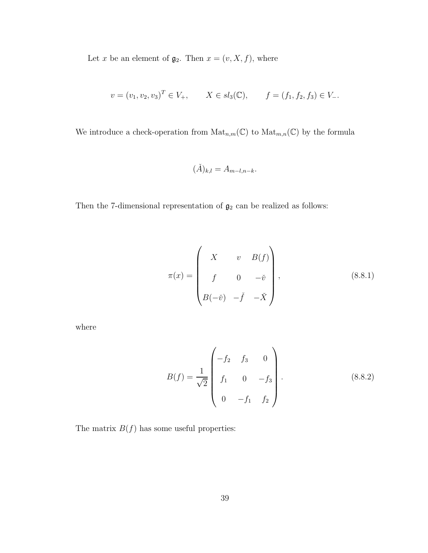Let x be an element of  $\mathfrak{g}_2$ . Then  $x = (v, X, f)$ , where

$$
v = (v_1, v_2, v_3)^T \in V_+, \qquad X \in sl_3(\mathbb{C}), \qquad f = (f_1, f_2, f_3) \in V_-.
$$

We introduce a check-operation from  $\mathrm{Mat}_{n,m}(\mathbb C)$  to  $\mathrm{Mat}_{m,n}(\mathbb C)$  by the formula

$$
(\check{A})_{k,l} = A_{m-l,n-k}.
$$

Then the 7-dimensional representation of  $\mathfrak{g}_2$  can be realized as follows:

$$
\pi(x) = \begin{pmatrix} X & v & B(f) \\ f & 0 & -\check{v} \\ B(-\check{v}) & -\check{f} & -\check{X} \end{pmatrix},
$$
\n(8.8.1)

where

$$
B(f) = \frac{1}{\sqrt{2}} \begin{pmatrix} -f_2 & f_3 & 0 \\ f_1 & 0 & -f_3 \\ 0 & -f_1 & f_2 \end{pmatrix}.
$$
 (8.8.2)

The matrix  $\mathcal{B}(f)$  has some useful properties: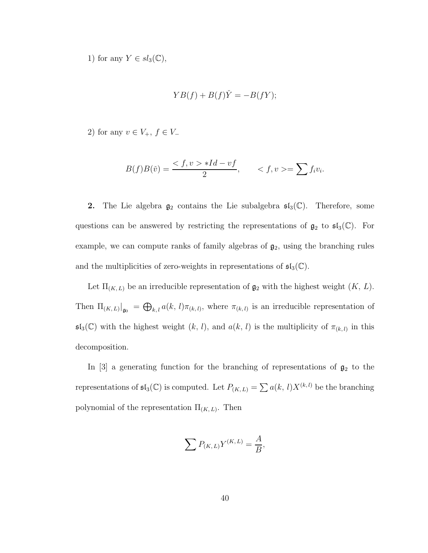1) for any  $Y \in sl_3(\mathbb{C}),$ 

$$
YB(f) + B(f)\check{Y} = -B(fY);
$$

2) for any  $v \in V_+$ ,  $f \in V_-$ 

$$
B(f)B(\check{v}) = \frac{ *Id - vf}{2}, \qquad =\sum f_i v_i.
$$

**2.** The Lie algebra  $\mathfrak{g}_2$  contains the Lie subalgebra  $\mathfrak{sl}_3(\mathbb{C})$ . Therefore, some questions can be answered by restricting the representations of  $\mathfrak{g}_2$  to  $\mathfrak{sl}_3(\mathbb{C})$ . For example, we can compute ranks of family algebras of  $\mathfrak{g}_2$ , using the branching rules and the multiplicities of zero-weights in representations of  $\mathfrak{sl}_3(\mathbb{C})$ .

Let  $\Pi_{(K,L)}$  be an irreducible representation of  $\mathfrak{g}_2$  with the highest weight  $(K, L)$ . Then  $\Pi_{(K,L)}|_{\mathfrak{g}_0} = \bigoplus_{k,l} a(k,l)\pi_{(k,l)}$ , where  $\pi_{(k,l)}$  is an irreducible representation of  $\mathfrak{sl}_3(\mathbb{C})$  with the highest weight  $(k, l)$ , and  $a(k, l)$  is the multiplicity of  $\pi_{(k, l)}$  in this decomposition.

In [3] a generating function for the branching of representations of  $\mathfrak{g}_2$  to the representations of  $\mathfrak{sl}_3(\mathbb{C})$  is computed. Let  $P_{(K,L)} = \sum a(k, l) X^{(k,l)}$  be the branching polynomial of the representation  $\Pi_{(K,L)}$ . Then

$$
\sum P_{(K,L)} Y^{(K,L)} = \frac{A}{B},
$$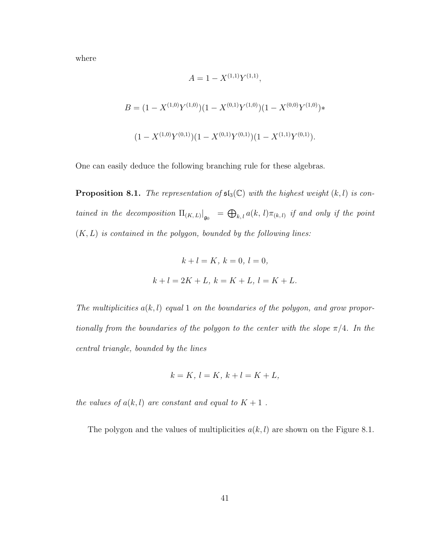where

$$
A = 1 - X^{(1,1)} Y^{(1,1)},
$$
  
\n
$$
B = (1 - X^{(1,0)} Y^{(1,0)}) (1 - X^{(0,1)} Y^{(1,0)}) (1 - X^{(0,0)} Y^{(1,0)}) *
$$
  
\n
$$
(1 - X^{(1,0)} Y^{(0,1)}) (1 - X^{(0,1)} Y^{(0,1)}) (1 - X^{(1,1)} Y^{(0,1)}).
$$

One can easily deduce the following branching rule for these algebras.

**Proposition 8.1.** The representation of  $\mathfrak{sl}_3(\mathbb{C})$  with the highest weight  $(k, l)$  is contained in the decomposition  $\Pi_{(K,L)}|_{\mathfrak{g}_0} = \bigoplus_{k,l} a(k,l) \pi_{(k,l)}$  if and only if the point  $(K, L)$  is contained in the polygon, bounded by the following lines:

$$
k + l = K
$$
,  $k = 0$ ,  $l = 0$ ,  
 $k + l = 2K + L$ ,  $k = K + L$ ,  $l = K + L$ .

The multiplicities  $a(k, l)$  equal 1 on the boundaries of the polygon, and grow proportionally from the boundaries of the polygon to the center with the slope  $\pi/4$ . In the central triangle, bounded by the lines

$$
k = K, l = K, k + l = K + L,
$$

the values of  $a(k, l)$  are constant and equal to  $K + 1$ .

The polygon and the values of multiplicities  $a(k, l)$  are shown on the Figure 8.1.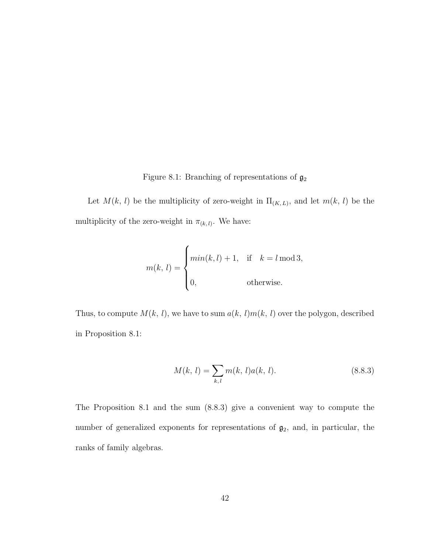Figure 8.1: Branching of representations of  $\mathfrak{g}_2$ 

Let  $M(k, l)$  be the multiplicity of zero-weight in  $\Pi_{(K, L)}$ , and let  $m(k, l)$  be the multiplicity of the zero-weight in  $\pi_{(k,l)}$ . We have:

$$
m(k, l) = \begin{cases} min(k, l) + 1, & \text{if } k = l \mod 3, \\ 0, & \text{otherwise.} \end{cases}
$$

Thus, to compute  $M(k, l)$ , we have to sum  $a(k, l)m(k, l)$  over the polygon, described in Proposition 8.1:

$$
M(k, l) = \sum_{k,l} m(k, l)a(k, l). \tag{8.8.3}
$$

The Proposition 8.1 and the sum (8.8.3) give a convenient way to compute the number of generalized exponents for representations of  $\mathfrak{g}_2$ , and, in particular, the ranks of family algebras.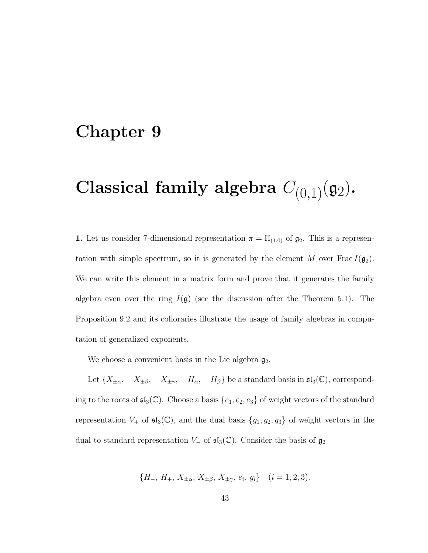### Chapter 9

# Classical family algebra  $C_{(0,1)}(\mathfrak{g}_2)$ .

1. Let us consider 7-dimensional representation  $\pi = \Pi_{(1,0)}$  of  $\mathfrak{g}_2$ . This is a representation with simple spectrum, so it is generated by the element M over Frac  $I(\mathfrak{g}_2)$ . We can write this element in a matrix form and prove that it generates the family algebra even over the ring  $I(\mathfrak{g})$  (see the discussion after the Theorem 5.1). The Proposition 9.2 and its colloraries illustrate the usage of family algebras in computation of generalized exponents.

We choose a convenient basis in the Lie algebra  $\mathfrak{g}_2$ .

Let  $\{X_{\pm\alpha}, \quad X_{\pm\beta}, \quad X_{\pm\gamma}, \quad H_{\alpha}, \quad H_{\beta}\}$  be a standard basis in  $\mathfrak{sl}_3(\mathbb{C})$ , corresponding to the roots of  $\mathfrak{sl}_3(\mathbb{C})$ . Choose a basis  $\{e_1, e_2, e_3\}$  of weight vectors of the standard representation  $V_+$  of  $\mathfrak{sl}_3(\mathbb{C})$ , and the dual basis  $\{g_1, g_2, g_3\}$  of weight vectors in the dual to standard representation  $V_-\,$  of  $\mathfrak{sl}_3(\mathbb{C})$ . Consider the basis of  $\mathfrak{g}_2$ 

$$
\{H_-, H_+, X_{\pm\alpha}, X_{\pm\beta}, X_{\pm\gamma}, e_i, g_i\} \quad (i = 1, 2, 3).
$$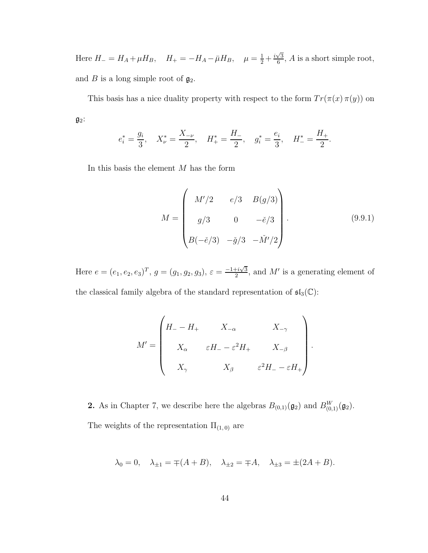Here  $H_- = H_A + \mu H_B$ ,  $H_+ = -H_A - \bar{\mu}H_B$ ,  $\mu = \frac{1}{2} + \frac{i\sqrt{3}}{6}$  $\frac{\sqrt{3}}{6}$ , *A* is a short simple root, and B is a long simple root of  $\mathfrak{g}_2$ .

This basis has a nice duality property with respect to the form  $Tr(\pi(x) \pi(y))$  on  $\mathfrak{g}_2$ :

$$
e_i^* = \frac{g_i}{3}
$$
,  $X_{\nu}^* = \frac{X_{-\nu}}{2}$ ,  $H_{+}^* = \frac{H_{-}}{2}$ ,  $g_i^* = \frac{e_i}{3}$ ,  $H_{-}^* = \frac{H_{+}}{2}$ .

In this basis the element  $M$  has the form

$$
M = \begin{pmatrix} M'/2 & e/3 & B(g/3) \\ g/3 & 0 & -\check{e}/3 \\ B(-\check{e}/3) & -\check{g}/3 & -\check{M}'/2 \end{pmatrix}.
$$
 (9.9.1)

.

Here  $e = (e_1, e_2, e_3)^T$ ,  $g = (g_1, g_2, g_3)$ ,  $\varepsilon = \frac{-1 + i\sqrt{3}}{2}$  $\frac{1+i\sqrt{3}}{2}$ , and M' is a generating element of the classical family algebra of the standard representation of  $\mathfrak{sl}_3(\mathbb{C})$ :

$$
M' = \begin{pmatrix} H_{-} - H_{+} & X_{-\alpha} & X_{-\gamma} \\ X_{\alpha} & \varepsilon H_{-} - \varepsilon^{2} H_{+} & X_{-\beta} \\ X_{\gamma} & X_{\beta} & \varepsilon^{2} H_{-} - \varepsilon H_{+} \end{pmatrix}
$$

**2.** As in Chapter 7, we describe here the algebras  $B_{(0,1)}(\mathfrak{g}_2)$  and  $B_{(0,1)}^W(\mathfrak{g}_2)$ . The weights of the representation  $\Pi_{(1,0)}$  are

$$
\lambda_0 = 0
$$
,  $\lambda_{\pm 1} = \mp (A + B)$ ,  $\lambda_{\pm 2} = \mp A$ ,  $\lambda_{\pm 3} = \pm (2A + B)$ .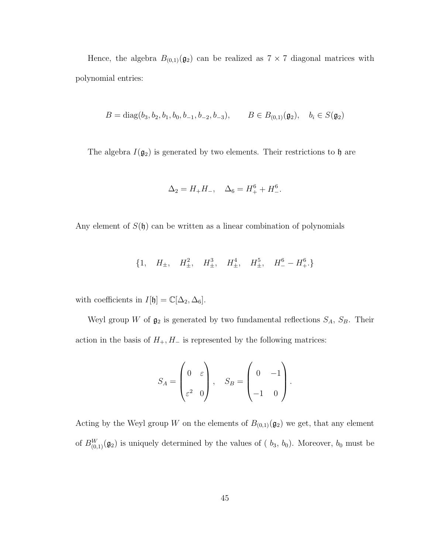Hence, the algebra  $B_{(0,1)}(\mathfrak{g}_2)$  can be realized as  $7 \times 7$  diagonal matrices with polynomial entries:

$$
B = diag(b_3, b_2, b_1, b_0, b_{-1}, b_{-2}, b_{-3}), \qquad B \in B_{(0,1)}(\mathfrak{g}_2), \quad b_i \in S(\mathfrak{g}_2)
$$

The algebra  $I(\mathfrak{g}_2)$  is generated by two elements. Their restrictions to  $\mathfrak h$  are

$$
\Delta_2 = H_+ H_-, \quad \Delta_6 = H_+^6 + H_-^6.
$$

Any element of  $S(\mathfrak{h})$  can be written as a linear combination of polynomials

$$
\{1, H_{\pm}, H_{\pm}^2, H_{\pm}^3, H_{\pm}^4, H_{\pm}^5, H_{\pm}^5, H_{-}^6 - H_{+}^6.\}
$$

with coefficients in  $I[\mathfrak{h}] = \mathbb{C}[\Delta_2, \Delta_6]$ .

Weyl group W of  $\mathfrak{g}_2$  is generated by two fundamental reflections  $S_A$ ,  $S_B$ . Their action in the basis of  $H_+, H_-$  is represented by the following matrices:

$$
S_A = \begin{pmatrix} 0 & \varepsilon \\ \varepsilon^2 & 0 \end{pmatrix}, \quad S_B = \begin{pmatrix} 0 & -1 \\ -1 & 0 \end{pmatrix}.
$$

Acting by the Weyl group W on the elements of  $B_{(0,1)}(\mathfrak{g}_2)$  we get, that any element of  $B_{(0,1)}^W(\mathfrak{g}_2)$  is uniquely determined by the values of (  $b_3$ ,  $b_0$ ). Moreover,  $b_0$  must be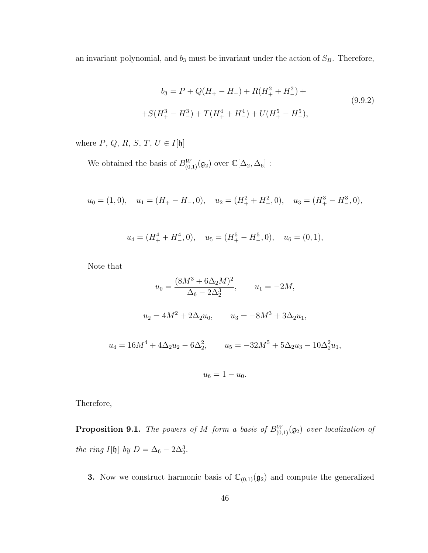an invariant polynomial, and  $b_3$  must be invariant under the action of  $S_B$ . Therefore,

$$
b_3 = P + Q(H_+ - H_-) + R(H_+^2 + H_-^2) +
$$
  
+
$$
S(H_+^3 - H_-^3) + T(H_+^4 + H_-^4) + U(H_+^5 - H_-^5),
$$
\n(9.9.2)

where  $P, \, Q, \, R, \, S, \, T, \, U \in I[\mathfrak{h}]$ 

We obtained the basis of  $B^W_{(0,1)}(\mathfrak{g}_2)$  over  $\mathbb{C}[\Delta_2, \Delta_6]$ :

$$
u_0 = (1,0),
$$
  $u_1 = (H_+ - H_-, 0),$   $u_2 = (H_+^2 + H_-^2, 0),$   $u_3 = (H_+^3 - H_-^3, 0),$ 

$$
u_4 = (H_+^4 + H_-^4, 0), \quad u_5 = (H_+^5 - H_-^5, 0), \quad u_6 = (0, 1),
$$

Note that

$$
u_0 = \frac{(8M^3 + 6\Delta_2 M)^2}{\Delta_6 - 2\Delta_2^3}, \qquad u_1 = -2M,
$$
  

$$
u_2 = 4M^2 + 2\Delta_2 u_0, \qquad u_3 = -8M^3 + 3\Delta_2 u_1,
$$
  

$$
u_4 = 16M^4 + 4\Delta_2 u_2 - 6\Delta_2^2, \qquad u_5 = -32M^5 + 5\Delta_2 u_3 - 10\Delta_2^2 u_1,
$$
  

$$
u_6 = 1 - u_0.
$$

Therefore,

**Proposition 9.1.** The powers of M form a basis of  $B_{(0,1)}^W(\mathfrak{g}_2)$  over localization of the ring I[b] by  $D = \Delta_6 - 2\Delta_2^3$ .

**3.** Now we construct harmonic basis of  $\mathbb{C}_{(0,1)}(\mathfrak{g}_2)$  and compute the generalized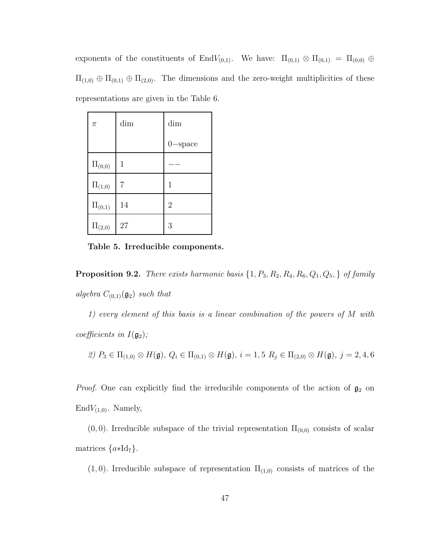exponents of the constituents of EndV<sub>(0,1)</sub>. We have:  $\Pi_{(0,1)} \otimes \Pi_{(0,1)} = \Pi_{(0,0)} \oplus$  $\Pi_{(1,0)} \oplus \Pi_{(0,1)} \oplus \Pi_{(2,0)}$ . The dimensions and the zero-weight multiplicities of these representations are given in the Table 6.

| $\pi$         | dim          | dim            |
|---------------|--------------|----------------|
|               |              | $0$ -space     |
| $\Pi_{(0,0)}$ | $\mathbf{1}$ |                |
| $\Pi_{(1,0)}$ | 7            | 1              |
| $\Pi_{(0,1)}$ | 14           | $\overline{2}$ |
| $\Pi_{(2,0)}$ | 27           | 3              |

Table 5. Irreducible components.

**Proposition 9.2.** There exists harmonic basis  $\{1, P_3, R_2, R_4, R_6, Q_1, Q_5, \}$  of family algebra  $C_{(0,1)}(\mathfrak{g}_2)$  such that

1) every element of this basis is a linear combination of the powers of M with coefficients in  $I(\mathfrak{g}_2)$ ;

$$
\text{2) } P_3 \in \Pi_{(1,0)} \otimes H(\mathfrak{g}), \ Q_i \in \Pi_{(0,1)} \otimes H(\mathfrak{g}), \ i = 1, 5 \ R_j \in \Pi_{(2,0)} \otimes H(\mathfrak{g}), \ j = 2, 4, 6
$$

*Proof.* One can explicitly find the irreducible components of the action of  $\mathfrak{g}_2$  on  $\text{End}V_{(1,0)}$ . Namely,

 $(0, 0)$ . Irreducible subspace of the trivial representation  $\Pi_{(0,0)}$  consists of scalar matrices  $\{a * Id_7\}.$ 

 $(1, 0)$ . Irreducible subspace of representation  $\Pi_{(1,0)}$  consists of matrices of the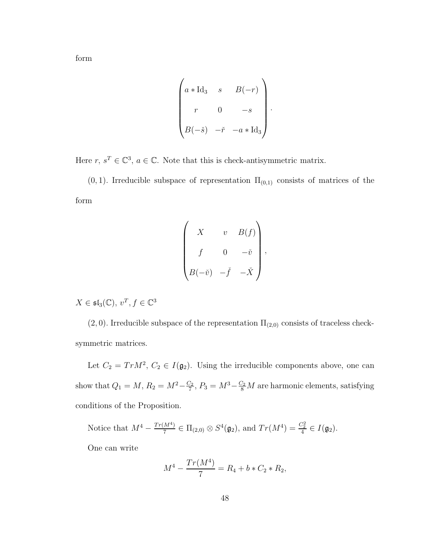form

$$
\begin{pmatrix}\n a * \text{Id}_3 & s & B(-r) \\
 r & 0 & -s \\
 B(-\check{s}) & -\check{r} & -a * \text{Id}_3\n \end{pmatrix}.
$$

Here  $r, s^T \in \mathbb{C}^3$ ,  $a \in \mathbb{C}$ . Note that this is check-antisymmetric matrix.

 $(0, 1)$ . Irreducible subspace of representation  $\Pi_{(0,1)}$  consists of matrices of the form

$$
\begin{pmatrix}\nX & v & B(f) \\
f & 0 & -\check{v} \\
B(-\check{v}) & -\check{f} & -\check{X}\n\end{pmatrix},
$$

 $X \in \mathfrak{sl}_3(\mathbb{C}), v^T, f \in \mathbb{C}^3$ 

 $(2, 0)$ . Irreducible subspace of the representation  $\Pi_{(2,0)}$  consists of traceless checksymmetric matrices.

Let  $C_2 = Tr M^2$ ,  $C_2 \in I(\mathfrak{g}_2)$ . Using the irreducible components above, one can show that  $Q_1 = M, R_2 = M^2 - \frac{C_2}{7}$  $\frac{C_2}{7}$ ,  $P_3 = M^3 - \frac{C_2}{8}M$  are harmonic elements, satisfying conditions of the Proposition.

Notice that  $M^4 - \frac{Tr(M^4)}{7}$  $\frac{M^4}{7} \in \Pi_{(2,0)} \otimes S^4(\mathfrak{g}_2)$ , and  $Tr(M^4) = \frac{C_2^2}{4} \in I(\mathfrak{g}_2)$ . One can write

$$
M^4 - \frac{Tr(M^4)}{7} = R_4 + b * C_2 * R_2,
$$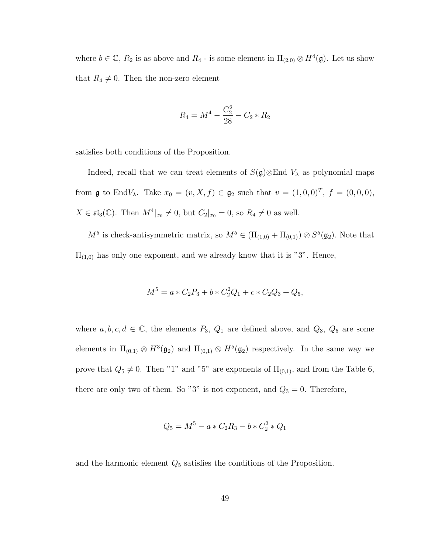where  $b \in \mathbb{C}$ ,  $R_2$  is as above and  $R_4$  - is some element in  $\Pi_{(2,0)} \otimes H^4(\mathfrak{g})$ . Let us show that  $R_4 \neq 0$ . Then the non-zero element

$$
R_4 = M^4 - \frac{C_2^2}{28} - C_2 * R_2
$$

satisfies both conditions of the Proposition.

Indeed, recall that we can treat elements of  $S(\mathfrak{g})\otimes \mathbb{E}_{\mathbb{P}}$  as polynomial maps from **g** to EndV<sub> $\lambda$ </sub>. Take  $x_0 = (v, X, f) \in \mathfrak{g}_2$  such that  $v = (1, 0, 0)^T$ ,  $f = (0, 0, 0)$ ,  $X \in \mathfrak{sl}_3(\mathbb{C})$ . Then  $M^4|_{x_0} \neq 0$ , but  $C_2|_{x_0} = 0$ , so  $R_4 \neq 0$  as well.

 $M^5$  is check-antisymmetric matrix, so  $M^5 \in (\Pi_{(1,0)} + \Pi_{(0,1)}) \otimes S^5(\mathfrak{g}_2)$ . Note that  $\Pi_{(1,0)}$  has only one exponent, and we already know that it is "3". Hence,

$$
M^5 = a * C_2 P_3 + b * C_2^2 Q_1 + c * C_2 Q_3 + Q_5,
$$

where  $a, b, c, d \in \mathbb{C}$ , the elements  $P_3$ ,  $Q_1$  are defined above, and  $Q_3$ ,  $Q_5$  are some elements in  $\Pi_{(0,1)} \otimes H^3(\mathfrak{g}_2)$  and  $\Pi_{(0,1)} \otimes H^5(\mathfrak{g}_2)$  respectively. In the same way we prove that  $Q_5 \neq 0$ . Then "1" and "5" are exponents of  $\Pi_{(0,1)}$ , and from the Table 6, there are only two of them. So "3" is not exponent, and  $Q_3 = 0$ . Therefore,

$$
Q_5 = M^5 - a * C_2 R_3 - b * C_2^2 * Q_1
$$

and the harmonic element  $Q_5$  satisfies the conditions of the Proposition.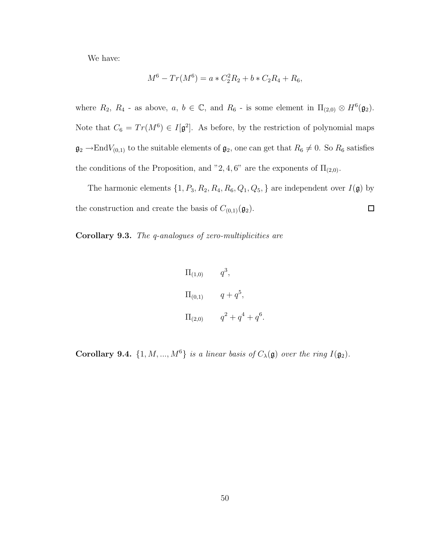We have:

$$
M^6 - Tr(M^6) = a * C_2^2 R_2 + b * C_2 R_4 + R_6,
$$

where  $R_2$ ,  $R_4$  - as above,  $a, b \in \mathbb{C}$ , and  $R_6$  - is some element in  $\Pi_{(2,0)} \otimes H^6(\mathfrak{g}_2)$ . Note that  $C_6 = Tr(M^6) \in I[\mathfrak{g}^2]$ . As before, by the restriction of polynomial maps  $\mathfrak{g}_2 \to \text{End}V_{(0,1)}$  to the suitable elements of  $\mathfrak{g}_2$ , one can get that  $R_6 \neq 0$ . So  $R_6$  satisfies the conditions of the Proposition, and "2, 4, 6" are the exponents of  $\Pi_{(2,0)}$ .

The harmonic elements  $\{1, P_3, R_2, R_4, R_6, Q_1, Q_5, \}$  are independent over  $I(\mathfrak{g})$  by the construction and create the basis of  $C_{(0,1)}(\mathfrak{g}_2)$ .  $\Box$ 

Corollary 9.3. The q-analogues of zero-multiplicities are

$$
\Pi_{(1,0)} \qquad q^3,
$$
  
\n
$$
\Pi_{(0,1)} \qquad q + q^5,
$$
  
\n
$$
\Pi_{(2,0)} \qquad q^2 + q^4 + q^6.
$$

**Corollary 9.4.**  $\{1, M, ..., M^6\}$  is a linear basis of  $C_\lambda(\mathfrak{g})$  over the ring  $I(\mathfrak{g}_2)$ .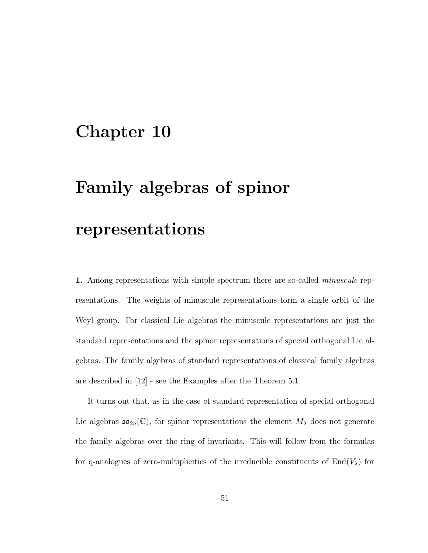## Chapter 10

# Family algebras of spinor

## representations

1. Among representations with simple spectrum there are so-called *minuscule* representations. The weights of minuscule representations form a single orbit of the Weyl group. For classical Lie algebras the minuscule representations are just the standard representations and the spinor representations of special orthogonal Lie algebras. The family algebras of standard representations of classical family algebras are described in [12] - see the Examples after the Theorem 5.1.

It turns out that, as in the case of standard representation of special orthogonal Lie algebras  $\mathfrak{so}_{2n}(\mathbb{C})$ , for spinor representations the element  $M_{\lambda}$  does not generate the family algebras over the ring of invariants. This will follow from the formulas for q-analogues of zero-multiplicities of the irreducible constituents of  $End(V_\lambda)$  for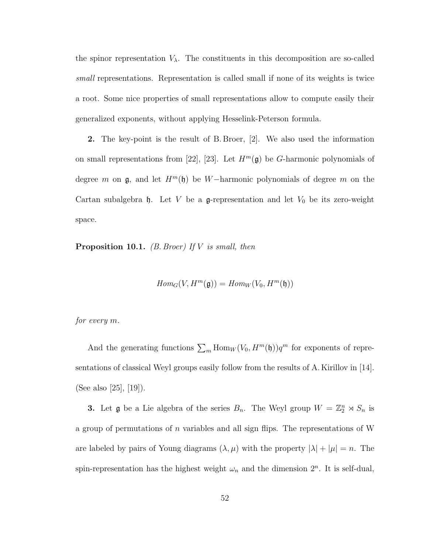the spinor representation  $V_{\lambda}$ . The constituents in this decomposition are so-called small representations. Representation is called small if none of its weights is twice a root. Some nice properties of small representations allow to compute easily their generalized exponents, without applying Hesselink-Peterson formula.

2. The key-point is the result of B. Broer, [2]. We also used the information on small representations from [22], [23]. Let  $H^m(\mathfrak{g})$  be G-harmonic polynomials of degree m on  $\mathfrak{g}$ , and let  $H^m(\mathfrak{h})$  be W−harmonic polynomials of degree m on the Cartan subalgebra  $\mathfrak h$ . Let V be a g-representation and let  $V_0$  be its zero-weight space.

**Proposition 10.1.** (*B. Broer*) If *V* is small, then

$$
Hom_G(V, H^m(\mathfrak{g})) = Hom_W(V_0, H^m(\mathfrak{h}))
$$

for every m.

And the generating functions  $\sum_m$  Hom $_W(V_0, H^m(\mathfrak{h}))q^m$  for exponents of representations of classical Weyl groups easily follow from the results of A. Kirillov in [14]. (See also [25], [19]).

**3.** Let **g** be a Lie algebra of the series  $B_n$ . The Weyl group  $W = \mathbb{Z}_2^n \rtimes S_n$  is a group of permutations of  $n$  variables and all sign flips. The representations of W are labeled by pairs of Young diagrams  $(\lambda, \mu)$  with the property  $|\lambda| + |\mu| = n$ . The spin-representation has the highest weight  $\omega_n$  and the dimension  $2^n$ . It is self-dual,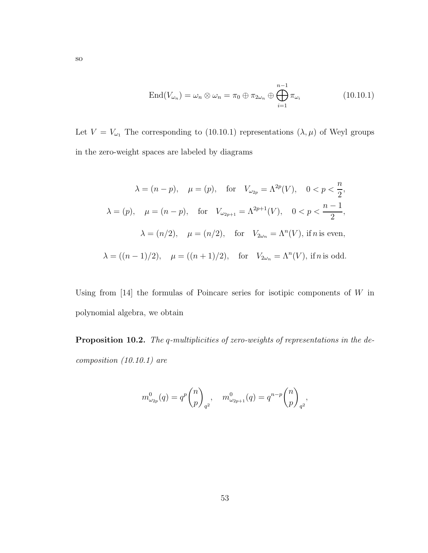$$
\text{End}(V_{\omega_n}) = \omega_n \otimes \omega_n = \pi_0 \oplus \pi_{2\omega_n} \oplus \bigoplus_{i=1}^{n-1} \pi_{\omega_i}
$$
 (10.10.1)

Let  $V = V_{\omega_1}$  The corresponding to (10.10.1) representations  $(\lambda, \mu)$  of Weyl groups in the zero-weight spaces are labeled by diagrams

$$
\lambda = (n - p), \quad \mu = (p), \quad \text{for} \quad V_{\omega_{2p}} = \Lambda^{2p}(V), \quad 0 < p < \frac{n}{2},
$$
\n
$$
\lambda = (p), \quad \mu = (n - p), \quad \text{for} \quad V_{\omega_{2p+1}} = \Lambda^{2p+1}(V), \quad 0 < p < \frac{n - 1}{2},
$$
\n
$$
\lambda = (n/2), \quad \mu = (n/2), \quad \text{for} \quad V_{2\omega_n} = \Lambda^n(V), \text{ if } n \text{ is even},
$$
\n
$$
\lambda = ((n - 1)/2), \quad \mu = ((n + 1)/2), \quad \text{for} \quad V_{2\omega_n} = \Lambda^n(V), \text{ if } n \text{ is odd}.
$$

Using from  $[14]$  the formulas of Poincare series for isotipic components of W in polynomial algebra, we obtain

Proposition 10.2. The q-multiplicities of zero-weights of representations in the decomposition (10.10.1) are

$$
m_{\omega_{2p}}^0(q) = q^p \binom{n}{p}_{q^2}, \quad m_{\omega_{2p+1}}^0(q) = q^{n-p} \binom{n}{p}_{q^2},
$$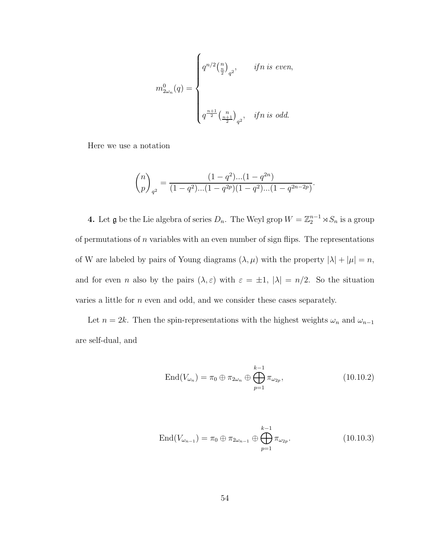$$
m_{2\omega_n}^0(q)=\begin{cases} q^{n/2}{n\choose \frac{n}{2}}_{q^2},&\text{ if n is even},\\\\ \\\\ q^{\frac{n+1}{2}}{\frac{n}{2}}_{q^2},&\text{ if n is odd}.\end{cases}
$$

Here we use a notation

$$
\binom{n}{p}_{q^2} = \frac{(1-q^2)...(1-q^{2n})}{(1-q^2)...(1-q^{2p})(1-q^2)...(1-q^{2n-2p})}.
$$

**4.** Let **g** be the Lie algebra of series  $D_n$ . The Weyl grop  $W = \mathbb{Z}_2^{n-1} \rtimes S_n$  is a group of permutations of  $n$  variables with an even number of sign flips. The representations of W are labeled by pairs of Young diagrams  $(\lambda, \mu)$  with the property  $|\lambda| + |\mu| = n$ , and for even *n* also by the pairs  $(\lambda, \varepsilon)$  with  $\varepsilon = \pm 1$ ,  $|\lambda| = n/2$ . So the situation varies a little for n even and odd, and we consider these cases separately.

Let  $n = 2k$ . Then the spin-representations with the highest weights  $\omega_n$  and  $\omega_{n-1}$ are self-dual, and

$$
\text{End}(V_{\omega_n}) = \pi_0 \oplus \pi_{2\omega_n} \oplus \bigoplus_{p=1}^{k-1} \pi_{\omega_{2p}},
$$
\n(10.10.2)

$$
\text{End}(V_{\omega_{n-1}}) = \pi_0 \oplus \pi_{2\omega_{n-1}} \oplus \bigoplus_{p=1}^{k-1} \pi_{\omega_{2p}}.
$$
 (10.10.3)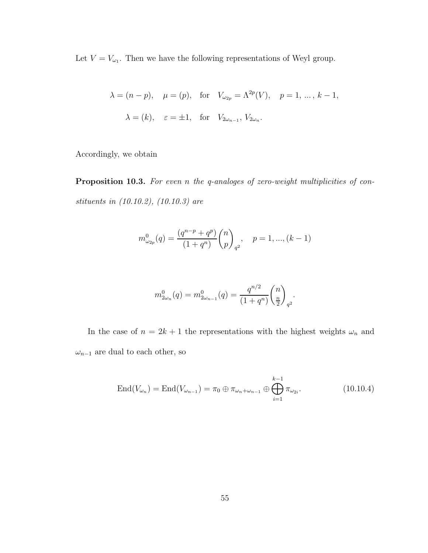Let  $V = V_{\omega_1}$ . Then we have the following representations of Weyl group.

$$
\lambda = (n - p), \quad \mu = (p), \quad \text{for} \quad V_{\omega_{2p}} = \Lambda^{2p}(V), \quad p = 1, \dots, k - 1,
$$

$$
\lambda = (k), \quad \varepsilon = \pm 1, \quad \text{for} \quad V_{2\omega_{n-1}}, V_{2\omega_n}.
$$

Accordingly, we obtain

Proposition 10.3. For even n the q-analoges of zero-weight multiplicities of constituents in (10.10.2), (10.10.3) are

$$
m_{\omega_{2p}}^0(q) = \frac{(q^{n-p} + q^p)}{(1+q^n)} \binom{n}{p}_{q^2}, \quad p = 1, ..., (k-1)
$$

$$
m_{2\omega_n}^0(q) = m_{2\omega_{n-1}}^0(q) = \frac{q^{n/2}}{(1+q^n)} \binom{n}{\frac{n}{2}}_q.
$$

In the case of  $n = 2k + 1$  the representations with the highest weights  $\omega_n$  and  $\omega_{n-1}$  are dual to each other, so

$$
End(V_{\omega_n}) = End(V_{\omega_{n-1}}) = \pi_0 \oplus \pi_{\omega_n + \omega_{n-1}} \oplus \bigoplus_{i=1}^{k-1} \pi_{\omega_{2i}}.
$$
 (10.10.4)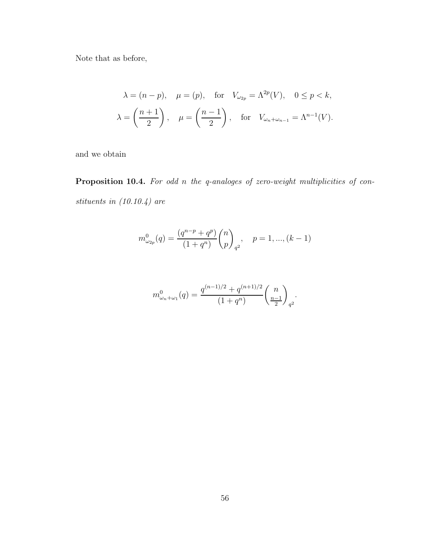Note that as before,

$$
\lambda = (n - p), \quad \mu = (p), \quad \text{for} \quad V_{\omega_{2p}} = \Lambda^{2p}(V), \quad 0 \le p < k,
$$
\n
$$
\lambda = \left(\frac{n+1}{2}\right), \quad \mu = \left(\frac{n-1}{2}\right), \quad \text{for} \quad V_{\omega_n + \omega_{n-1}} = \Lambda^{n-1}(V).
$$

and we obtain

Proposition 10.4. For odd n the q-analoges of zero-weight multiplicities of constituents in (10.10.4) are

$$
m_{\omega_{2p}}^0(q) = \frac{(q^{n-p} + q^p)}{(1+q^n)} \binom{n}{p}_{q^2}, \quad p = 1, ..., (k-1)
$$

$$
m_{\omega_n+\omega_1}^0(q)=\frac{q^{(n-1)/2}+q^{(n+1)/2}}{\left(1+q^n\right)}\binom{n}{\frac{n-1}{2}}_q.
$$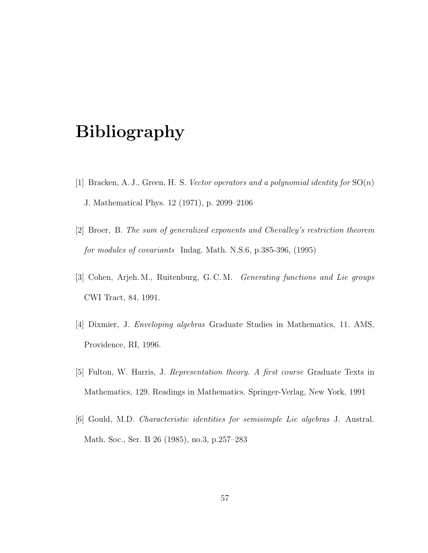## Bibliography

- [1] Bracken, A. J., Green, H. S. Vector operators and a polynomial identity for  $SO(n)$ J. Mathematical Phys. 12 (1971), p. 2099–2106
- [2] Broer, B. The sum of generalized exponents and Chevalley's restriction theorem for modules of covariants Indag. Math. N.S.6, p.385-396, (1995)
- [3] Cohen, Arjeh. M., Ruitenburg, G. C. M. Generating functions and Lie groups CWI Tract, 84, 1991.
- [4] Dixmier, J. Enveloping algebras Graduate Studies in Mathematics, 11. AMS, Providence, RI, 1996.
- [5] Fulton, W. Harris, J. Representation theory. A first course Graduate Texts in Mathematics, 129. Readings in Mathematics. Springer-Verlag, New York, 1991
- [6] Gould, M.D. Characteristic identities for semisimple Lie algebras J. Austral. Math. Soc., Ser. B 26 (1985), no.3, p.257–283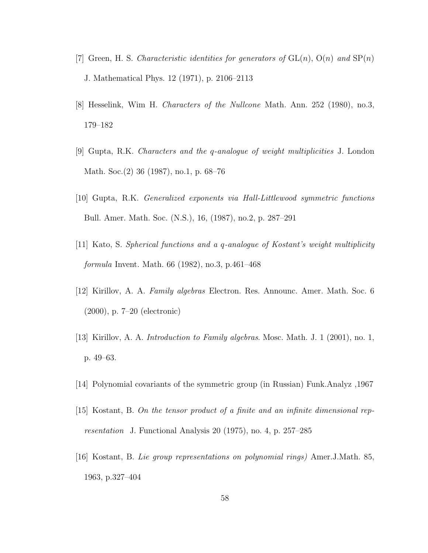- [7] Green, H. S. Characteristic identities for generators of  $GL(n)$ ,  $O(n)$  and  $SP(n)$ J. Mathematical Phys. 12 (1971), p. 2106–2113
- [8] Hesselink, Wim H. Characters of the Nullcone Math. Ann. 252 (1980), no.3, 179–182
- [9] Gupta, R.K. Characters and the q-analogue of weight multiplicities J. London Math. Soc.(2) 36 (1987), no.1, p. 68–76
- [10] Gupta, R.K. Generalized exponents via Hall-Littlewood symmetric functions Bull. Amer. Math. Soc. (N.S.), 16, (1987), no.2, p. 287–291
- [11] Kato, S. Spherical functions and a q-analogue of Kostant's weight multiplicity formula Invent. Math. 66 (1982), no.3, p.461–468
- [12] Kirillov, A. A. Family algebras Electron. Res. Announc. Amer. Math. Soc. 6 (2000), p. 7–20 (electronic)
- [13] Kirillov, A. A. Introduction to Family algebras. Mosc. Math. J. 1 (2001), no. 1, p. 49–63.
- [14] Polynomial covariants of the symmetric group (in Russian) Funk.Analyz ,1967
- [15] Kostant, B. On the tensor product of a finite and an infinite dimensional representation J. Functional Analysis 20 (1975), no. 4, p. 257–285
- [16] Kostant, B. Lie group representations on polynomial rings) Amer.J.Math. 85, 1963, p.327–404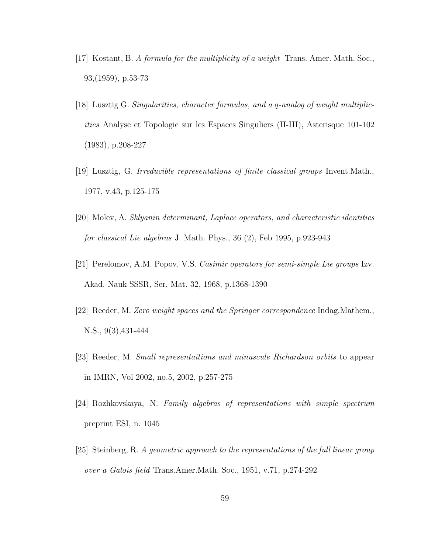- [17] Kostant, B. A formula for the multiplicity of a weight Trans. Amer. Math. Soc., 93,(1959), p.53-73
- [18] Lusztig G. Singularities, character formulas, and a q-analog of weight multiplicities Analyse et Topologie sur les Espaces Singuliers (II-III), Asterisque 101-102 (1983), p.208-227
- [19] Lusztig, G. Irreducible representations of finite classical groups Invent.Math., 1977, v.43, p.125-175
- [20] Molev, A. Sklyanin determinant, Laplace operators, and characteristic identities for classical Lie algebras J. Math. Phys., 36 (2), Feb 1995, p.923-943
- [21] Perelomov, A.M. Popov, V.S. Casimir operators for semi-simple Lie groups Izv. Akad. Nauk SSSR, Ser. Mat. 32, 1968, p.1368-1390
- [22] Reeder, M. Zero weight spaces and the Springer correspondence Indag.Mathem., N.S., 9(3),431-444
- [23] Reeder, M. Small representaitions and minuscule Richardson orbits to appear in IMRN, Vol 2002, no.5, 2002, p.257-275
- [24] Rozhkovskaya, N. Family algebras of representations with simple spectrum preprint ESI, n. 1045
- [25] Steinberg, R. A geometric approach to the representations of the full linear group over a Galois field Trans.Amer.Math. Soc., 1951, v.71, p.274-292